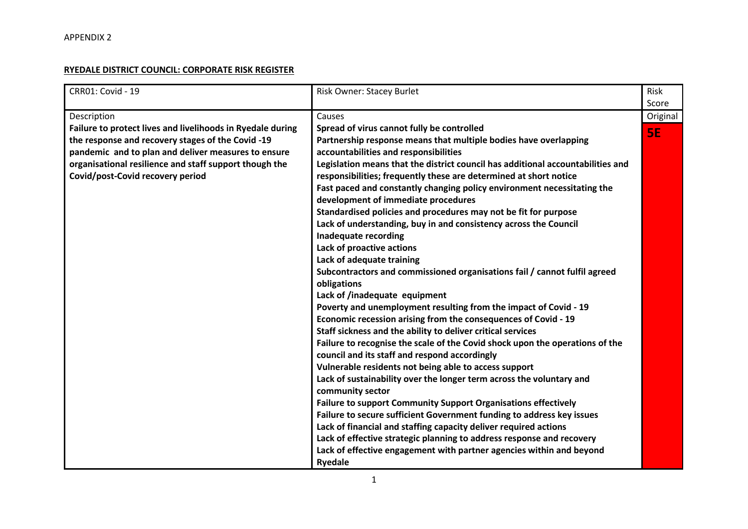## **RYEDALE DISTRICT COUNCIL: CORPORATE RISK REGISTER**

| <b>CRR01: Covid - 19</b>                                   | Risk Owner: Stacey Burlet                                                       | <b>Risk</b> |
|------------------------------------------------------------|---------------------------------------------------------------------------------|-------------|
|                                                            |                                                                                 | Score       |
| Description                                                | Causes                                                                          | Original    |
| Failure to protect lives and livelihoods in Ryedale during | Spread of virus cannot fully be controlled                                      | <b>SE</b>   |
| the response and recovery stages of the Covid -19          | Partnership response means that multiple bodies have overlapping                |             |
| pandemic and to plan and deliver measures to ensure        | accountabilities and responsibilities                                           |             |
| organisational resilience and staff support though the     | Legislation means that the district council has additional accountabilities and |             |
| Covid/post-Covid recovery period                           | responsibilities; frequently these are determined at short notice               |             |
|                                                            | Fast paced and constantly changing policy environment necessitating the         |             |
|                                                            | development of immediate procedures                                             |             |
|                                                            | Standardised policies and procedures may not be fit for purpose                 |             |
|                                                            | Lack of understanding, buy in and consistency across the Council                |             |
|                                                            | Inadequate recording                                                            |             |
|                                                            | Lack of proactive actions                                                       |             |
|                                                            | Lack of adequate training                                                       |             |
|                                                            | Subcontractors and commissioned organisations fail / cannot fulfil agreed       |             |
|                                                            | obligations                                                                     |             |
|                                                            | Lack of /inadequate equipment                                                   |             |
|                                                            | Poverty and unemployment resulting from the impact of Covid - 19                |             |
|                                                            | Economic recession arising from the consequences of Covid - 19                  |             |
|                                                            | Staff sickness and the ability to deliver critical services                     |             |
|                                                            | Failure to recognise the scale of the Covid shock upon the operations of the    |             |
|                                                            | council and its staff and respond accordingly                                   |             |
|                                                            | Vulnerable residents not being able to access support                           |             |
|                                                            | Lack of sustainability over the longer term across the voluntary and            |             |
|                                                            | community sector                                                                |             |
|                                                            | Failure to support Community Support Organisations effectively                  |             |
|                                                            | Failure to secure sufficient Government funding to address key issues           |             |
|                                                            | Lack of financial and staffing capacity deliver required actions                |             |
|                                                            | Lack of effective strategic planning to address response and recovery           |             |
|                                                            | Lack of effective engagement with partner agencies within and beyond            |             |
|                                                            | <b>Ryedale</b>                                                                  |             |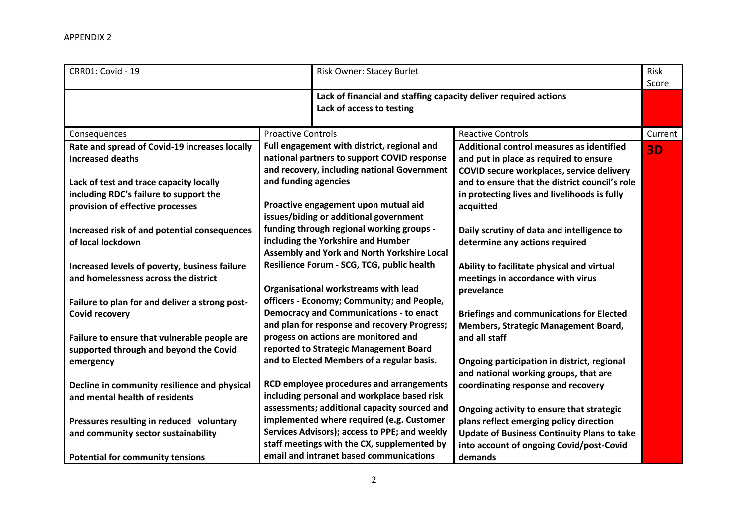| <b>CRR01: Covid - 19</b>                                                               | Risk Owner: Stacey Burlet                                                                                                                                         |                                                                                                                                                                                    |           |
|----------------------------------------------------------------------------------------|-------------------------------------------------------------------------------------------------------------------------------------------------------------------|------------------------------------------------------------------------------------------------------------------------------------------------------------------------------------|-----------|
|                                                                                        | Lack of access to testing                                                                                                                                         | Lack of financial and staffing capacity deliver required actions                                                                                                                   |           |
| Consequences                                                                           | <b>Proactive Controls</b>                                                                                                                                         | <b>Reactive Controls</b>                                                                                                                                                           | Current   |
| Rate and spread of Covid-19 increases locally<br><b>Increased deaths</b>               | Full engagement with district, regional and<br>national partners to support COVID response<br>and recovery, including national Government<br>and funding agencies | Additional control measures as identified<br>and put in place as required to ensure<br>COVID secure workplaces, service delivery<br>and to ensure that the district council's role | <b>3D</b> |
| Lack of test and trace capacity locally<br>including RDC's failure to support the      |                                                                                                                                                                   | in protecting lives and livelihoods is fully                                                                                                                                       |           |
| provision of effective processes                                                       | Proactive engagement upon mutual aid<br>issues/biding or additional government                                                                                    | acquitted                                                                                                                                                                          |           |
| Increased risk of and potential consequences<br>of local lockdown                      | funding through regional working groups -<br>including the Yorkshire and Humber<br>Assembly and York and North Yorkshire Local                                    | Daily scrutiny of data and intelligence to<br>determine any actions required                                                                                                       |           |
| Increased levels of poverty, business failure<br>and homelessness across the district  | Resilience Forum - SCG, TCG, public health<br>Organisational workstreams with lead                                                                                | Ability to facilitate physical and virtual<br>meetings in accordance with virus<br>prevelance                                                                                      |           |
| Failure to plan for and deliver a strong post-<br><b>Covid recovery</b>                | officers - Economy; Community; and People,<br><b>Democracy and Communications - to enact</b><br>and plan for response and recovery Progress;                      | <b>Briefings and communications for Elected</b><br>Members, Strategic Management Board,                                                                                            |           |
| Failure to ensure that vulnerable people are<br>supported through and beyond the Covid | progess on actions are monitored and<br>reported to Strategic Management Board<br>and to Elected Members of a regular basis.                                      | and all staff                                                                                                                                                                      |           |
| emergency<br>Decline in community resilience and physical                              | RCD employee procedures and arrangements                                                                                                                          | Ongoing participation in district, regional<br>and national working groups, that are<br>coordinating response and recovery                                                         |           |
| and mental health of residents                                                         | including personal and workplace based risk<br>assessments; additional capacity sourced and                                                                       | Ongoing activity to ensure that strategic                                                                                                                                          |           |
| Pressures resulting in reduced voluntary                                               | implemented where required (e.g. Customer                                                                                                                         | plans reflect emerging policy direction                                                                                                                                            |           |
| and community sector sustainability                                                    | Services Advisors); access to PPE; and weekly<br>staff meetings with the CX, supplemented by<br>email and intranet based communications                           | <b>Update of Business Continuity Plans to take</b><br>into account of ongoing Covid/post-Covid                                                                                     |           |
| <b>Potential for community tensions</b>                                                |                                                                                                                                                                   | demands                                                                                                                                                                            |           |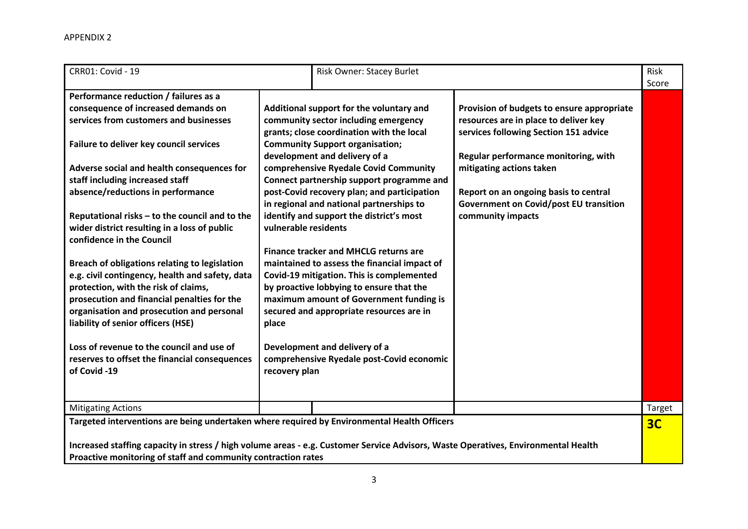| <b>CRR01: Covid - 19</b>                                                                                                           |                      | Risk Owner: Stacey Burlet                                                             |                                               | Risk<br>Score  |
|------------------------------------------------------------------------------------------------------------------------------------|----------------------|---------------------------------------------------------------------------------------|-----------------------------------------------|----------------|
| Performance reduction / failures as a                                                                                              |                      |                                                                                       |                                               |                |
| consequence of increased demands on                                                                                                |                      | Additional support for the voluntary and                                              | Provision of budgets to ensure appropriate    |                |
| services from customers and businesses                                                                                             |                      | community sector including emergency                                                  | resources are in place to deliver key         |                |
|                                                                                                                                    |                      | grants; close coordination with the local                                             | services following Section 151 advice         |                |
| Failure to deliver key council services                                                                                            |                      | <b>Community Support organisation;</b>                                                |                                               |                |
|                                                                                                                                    |                      | development and delivery of a                                                         | Regular performance monitoring, with          |                |
| Adverse social and health consequences for                                                                                         |                      | comprehensive Ryedale Covid Community                                                 | mitigating actions taken                      |                |
| staff including increased staff                                                                                                    |                      | Connect partnership support programme and                                             |                                               |                |
| absence/reductions in performance                                                                                                  |                      | post-Covid recovery plan; and participation                                           | Report on an ongoing basis to central         |                |
|                                                                                                                                    |                      | in regional and national partnerships to                                              | <b>Government on Covid/post EU transition</b> |                |
| Reputational risks - to the council and to the                                                                                     |                      | identify and support the district's most                                              | community impacts                             |                |
| wider district resulting in a loss of public                                                                                       | vulnerable residents |                                                                                       |                                               |                |
| confidence in the Council                                                                                                          |                      |                                                                                       |                                               |                |
|                                                                                                                                    |                      | <b>Finance tracker and MHCLG returns are</b>                                          |                                               |                |
| Breach of obligations relating to legislation                                                                                      |                      | maintained to assess the financial impact of                                          |                                               |                |
| e.g. civil contingency, health and safety, data<br>protection, with the risk of claims,                                            |                      | Covid-19 mitigation. This is complemented<br>by proactive lobbying to ensure that the |                                               |                |
| prosecution and financial penalties for the                                                                                        |                      | maximum amount of Government funding is                                               |                                               |                |
| organisation and prosecution and personal                                                                                          |                      | secured and appropriate resources are in                                              |                                               |                |
| liability of senior officers (HSE)                                                                                                 | place                |                                                                                       |                                               |                |
|                                                                                                                                    |                      |                                                                                       |                                               |                |
| Loss of revenue to the council and use of                                                                                          |                      | Development and delivery of a                                                         |                                               |                |
| reserves to offset the financial consequences                                                                                      |                      | comprehensive Ryedale post-Covid economic                                             |                                               |                |
| of Covid -19                                                                                                                       | recovery plan        |                                                                                       |                                               |                |
|                                                                                                                                    |                      |                                                                                       |                                               |                |
|                                                                                                                                    |                      |                                                                                       |                                               |                |
| <b>Mitigating Actions</b>                                                                                                          |                      |                                                                                       |                                               | Target         |
| Targeted interventions are being undertaken where required by Environmental Health Officers                                        |                      |                                                                                       |                                               | 3 <sub>C</sub> |
|                                                                                                                                    |                      |                                                                                       |                                               |                |
| Increased staffing capacity in stress / high volume areas - e.g. Customer Service Advisors, Waste Operatives, Environmental Health |                      |                                                                                       |                                               |                |
| Proactive monitoring of staff and community contraction rates                                                                      |                      |                                                                                       |                                               |                |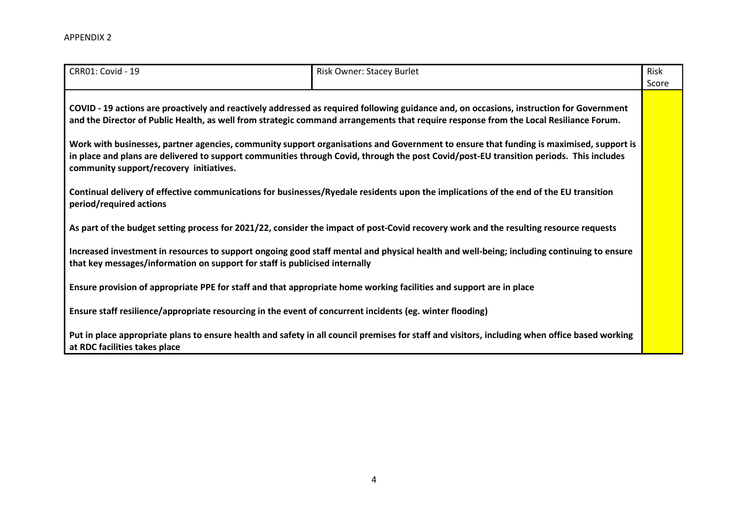| CRR01: Covid - 19                                                                                                                                                                                                                                                                                                            | Risk Owner: Stacey Burlet                                                                                                                      | Risk<br>Score |  |  |
|------------------------------------------------------------------------------------------------------------------------------------------------------------------------------------------------------------------------------------------------------------------------------------------------------------------------------|------------------------------------------------------------------------------------------------------------------------------------------------|---------------|--|--|
| COVID - 19 actions are proactively and reactively addressed as required following guidance and, on occasions, instruction for Government<br>and the Director of Public Health, as well from strategic command arrangements that require response from the Local Resiliance Forum.                                            |                                                                                                                                                |               |  |  |
| Work with businesses, partner agencies, community support organisations and Government to ensure that funding is maximised, support is<br>in place and plans are delivered to support communities through Covid, through the post Covid/post-EU transition periods. This includes<br>community support/recovery initiatives. |                                                                                                                                                |               |  |  |
| Continual delivery of effective communications for businesses/Ryedale residents upon the implications of the end of the EU transition<br>period/required actions                                                                                                                                                             |                                                                                                                                                |               |  |  |
|                                                                                                                                                                                                                                                                                                                              | As part of the budget setting process for 2021/22, consider the impact of post-Covid recovery work and the resulting resource requests         |               |  |  |
| Increased investment in resources to support ongoing good staff mental and physical health and well-being; including continuing to ensure<br>that key messages/information on support for staff is publicised internally                                                                                                     |                                                                                                                                                |               |  |  |
| Ensure provision of appropriate PPE for staff and that appropriate home working facilities and support are in place                                                                                                                                                                                                          |                                                                                                                                                |               |  |  |
| Ensure staff resilience/appropriate resourcing in the event of concurrent incidents (eg. winter flooding)                                                                                                                                                                                                                    |                                                                                                                                                |               |  |  |
| at RDC facilities takes place                                                                                                                                                                                                                                                                                                | Put in place appropriate plans to ensure health and safety in all council premises for staff and visitors, including when office based working |               |  |  |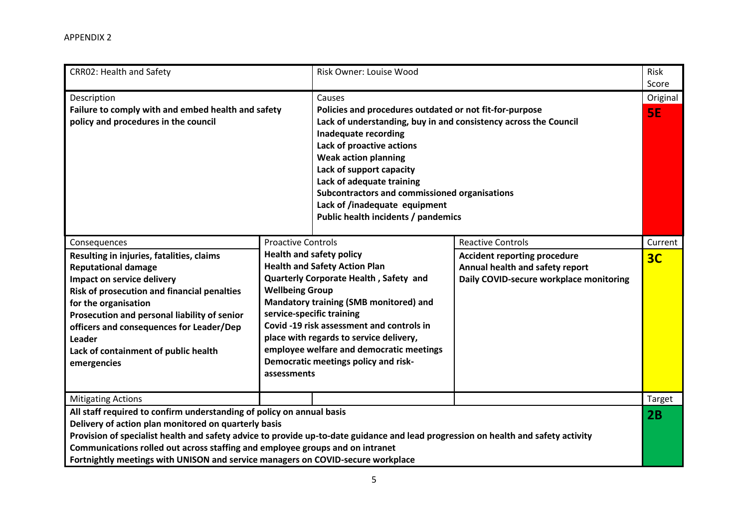| <b>CRR02: Health and Safety</b>                                                                                                                                                                                                                                                                                                                                                                                                                                      |                                                                    | Risk Owner: Louise Wood                                                                                                                                                                                                                                                                                                                                                                                     |                                                                                                                                               | Risk<br>Score             |
|----------------------------------------------------------------------------------------------------------------------------------------------------------------------------------------------------------------------------------------------------------------------------------------------------------------------------------------------------------------------------------------------------------------------------------------------------------------------|--------------------------------------------------------------------|-------------------------------------------------------------------------------------------------------------------------------------------------------------------------------------------------------------------------------------------------------------------------------------------------------------------------------------------------------------------------------------------------------------|-----------------------------------------------------------------------------------------------------------------------------------------------|---------------------------|
| Description<br>Failure to comply with and embed health and safety<br>policy and procedures in the council                                                                                                                                                                                                                                                                                                                                                            |                                                                    | Causes<br>Policies and procedures outdated or not fit-for-purpose<br>Lack of understanding, buy in and consistency across the Council<br>Inadequate recording<br>Lack of proactive actions<br><b>Weak action planning</b><br>Lack of support capacity<br>Lack of adequate training<br>Subcontractors and commissioned organisations<br>Lack of /inadequate equipment<br>Public health incidents / pandemics |                                                                                                                                               | Original<br>5E            |
| Consequences<br>Resulting in injuries, fatalities, claims<br><b>Reputational damage</b><br>Impact on service delivery<br>Risk of prosecution and financial penalties<br>for the organisation<br>Prosecution and personal liability of senior<br>officers and consequences for Leader/Dep<br>Leader<br>Lack of containment of public health<br>emergencies                                                                                                            | <b>Proactive Controls</b><br><b>Wellbeing Group</b><br>assessments | <b>Health and safety policy</b><br><b>Health and Safety Action Plan</b><br>Quarterly Corporate Health, Safety and<br>Mandatory training (SMB monitored) and<br>service-specific training<br>Covid -19 risk assessment and controls in<br>place with regards to service delivery,<br>employee welfare and democratic meetings<br>Democratic meetings policy and risk-                                        | <b>Reactive Controls</b><br><b>Accident reporting procedure</b><br>Annual health and safety report<br>Daily COVID-secure workplace monitoring | Current<br>3 <sub>C</sub> |
| <b>Mitigating Actions</b><br>All staff required to confirm understanding of policy on annual basis<br>Delivery of action plan monitored on quarterly basis<br>Provision of specialist health and safety advice to provide up-to-date guidance and lead progression on health and safety activity<br>Communications rolled out across staffing and employee groups and on intranet<br>Fortnightly meetings with UNISON and service managers on COVID-secure workplace |                                                                    |                                                                                                                                                                                                                                                                                                                                                                                                             |                                                                                                                                               | Target<br>2B              |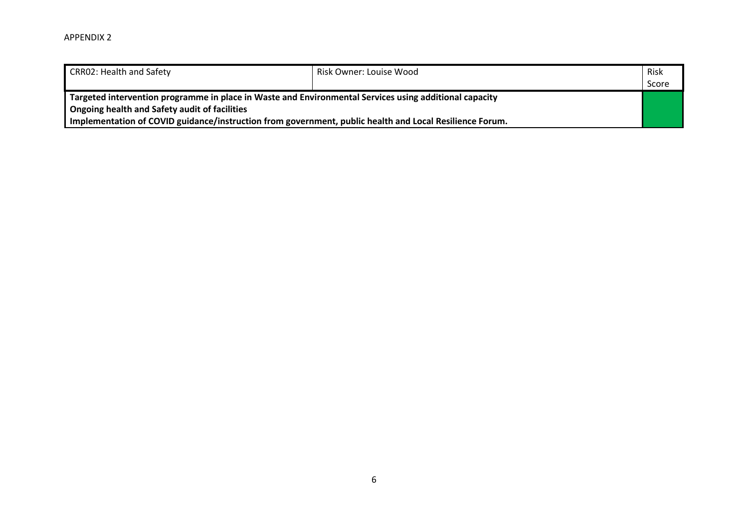| <b>CRR02: Health and Safety</b>                                                                         | Risk Owner: Louise Wood | Risk  |
|---------------------------------------------------------------------------------------------------------|-------------------------|-------|
|                                                                                                         |                         | Score |
| Targeted intervention programme in place in Waste and Environmental Services using additional capacity  |                         |       |
| Ongoing health and Safety audit of facilities                                                           |                         |       |
| Implementation of COVID guidance/instruction from government, public health and Local Resilience Forum. |                         |       |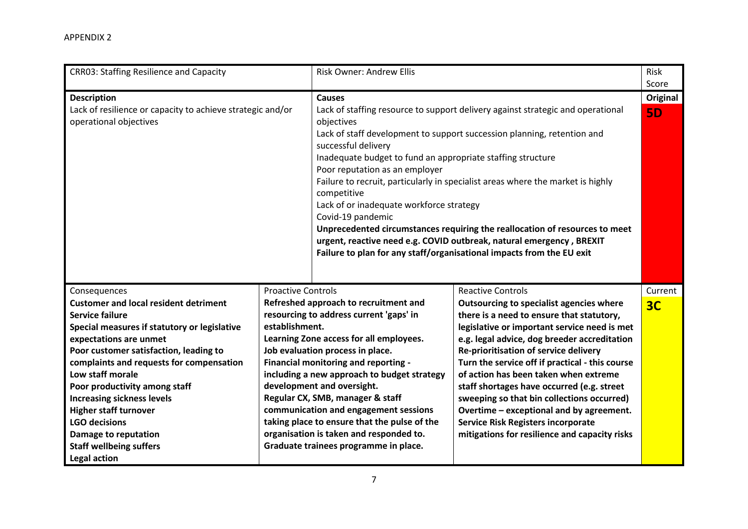| <b>CRR03: Staffing Resilience and Capacity</b>                                                                                                                                                                                                                                                                                                                                                                                                                                                   |                                             | <b>Risk Owner: Andrew Ellis</b>                                                                                                                                                                                                                                                                                                                                                                                                                                                                       |                                                                                                                                                                                                                                                                                                                                                                                                                                                                                                                                                                                              | Risk<br>Score                |
|--------------------------------------------------------------------------------------------------------------------------------------------------------------------------------------------------------------------------------------------------------------------------------------------------------------------------------------------------------------------------------------------------------------------------------------------------------------------------------------------------|---------------------------------------------|-------------------------------------------------------------------------------------------------------------------------------------------------------------------------------------------------------------------------------------------------------------------------------------------------------------------------------------------------------------------------------------------------------------------------------------------------------------------------------------------------------|----------------------------------------------------------------------------------------------------------------------------------------------------------------------------------------------------------------------------------------------------------------------------------------------------------------------------------------------------------------------------------------------------------------------------------------------------------------------------------------------------------------------------------------------------------------------------------------------|------------------------------|
| <b>Description</b><br>Lack of resilience or capacity to achieve strategic and/or<br>operational objectives                                                                                                                                                                                                                                                                                                                                                                                       |                                             | <b>Causes</b><br>objectives<br>successful delivery<br>Inadequate budget to fund an appropriate staffing structure<br>Poor reputation as an employer<br>competitive<br>Lack of or inadequate workforce strategy<br>Covid-19 pandemic                                                                                                                                                                                                                                                                   | Lack of staffing resource to support delivery against strategic and operational<br>Lack of staff development to support succession planning, retention and<br>Failure to recruit, particularly in specialist areas where the market is highly<br>Unprecedented circumstances requiring the reallocation of resources to meet<br>urgent, reactive need e.g. COVID outbreak, natural emergency, BREXIT<br>Failure to plan for any staff/organisational impacts from the EU exit                                                                                                                | <b>Original</b><br><b>5D</b> |
| Consequences<br><b>Customer and local resident detriment</b><br><b>Service failure</b><br>Special measures if statutory or legislative<br>expectations are unmet<br>Poor customer satisfaction, leading to<br>complaints and requests for compensation<br>Low staff morale<br>Poor productivity among staff<br><b>Increasing sickness levels</b><br><b>Higher staff turnover</b><br><b>LGO decisions</b><br><b>Damage to reputation</b><br><b>Staff wellbeing suffers</b><br><b>Legal action</b> | <b>Proactive Controls</b><br>establishment. | Refreshed approach to recruitment and<br>resourcing to address current 'gaps' in<br>Learning Zone access for all employees.<br>Job evaluation process in place.<br>Financial monitoring and reporting -<br>including a new approach to budget strategy<br>development and oversight.<br>Regular CX, SMB, manager & staff<br>communication and engagement sessions<br>taking place to ensure that the pulse of the<br>organisation is taken and responded to.<br>Graduate trainees programme in place. | <b>Reactive Controls</b><br>Outsourcing to specialist agencies where<br>there is a need to ensure that statutory,<br>legislative or important service need is met<br>e.g. legal advice, dog breeder accreditation<br>Re-prioritisation of service delivery<br>Turn the service off if practical - this course<br>of action has been taken when extreme<br>staff shortages have occurred (e.g. street<br>sweeping so that bin collections occurred)<br>Overtime - exceptional and by agreement.<br><b>Service Risk Registers incorporate</b><br>mitigations for resilience and capacity risks | Current<br>3 <sub>C</sub>    |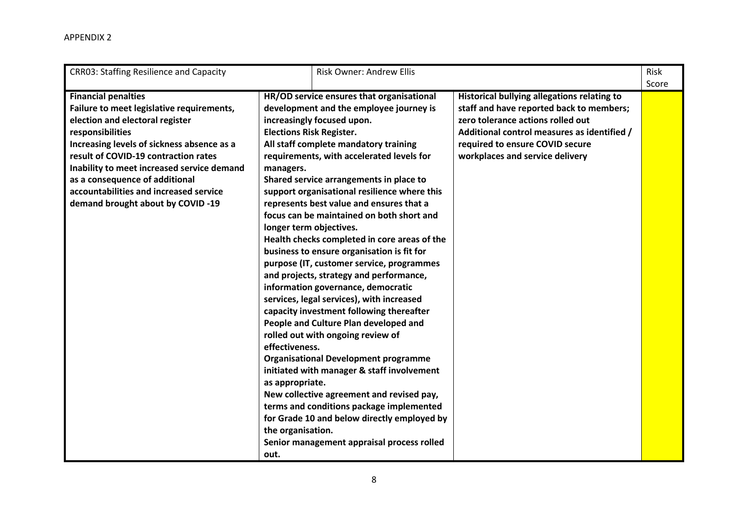| <b>CRR03: Staffing Resilience and Capacity</b>                                                                                                                                                                                                                                                                                                                                      | <b>Risk Owner: Andrew Ellis</b>                                                                                                                                                                                                                                                                                                                                                                                                                                                                                                                                                                                                                                                                                                                                                                                                                                                                                                                                                                                                                                                                                                                                                                                                 |                                                                                                                                                                                                                                                   | Risk<br>Score |
|-------------------------------------------------------------------------------------------------------------------------------------------------------------------------------------------------------------------------------------------------------------------------------------------------------------------------------------------------------------------------------------|---------------------------------------------------------------------------------------------------------------------------------------------------------------------------------------------------------------------------------------------------------------------------------------------------------------------------------------------------------------------------------------------------------------------------------------------------------------------------------------------------------------------------------------------------------------------------------------------------------------------------------------------------------------------------------------------------------------------------------------------------------------------------------------------------------------------------------------------------------------------------------------------------------------------------------------------------------------------------------------------------------------------------------------------------------------------------------------------------------------------------------------------------------------------------------------------------------------------------------|---------------------------------------------------------------------------------------------------------------------------------------------------------------------------------------------------------------------------------------------------|---------------|
| <b>Financial penalties</b><br>Failure to meet legislative requirements,<br>election and electoral register<br>responsibilities<br>Increasing levels of sickness absence as a<br>result of COVID-19 contraction rates<br>Inability to meet increased service demand<br>as a consequence of additional<br>accountabilities and increased service<br>demand brought about by COVID -19 | HR/OD service ensures that organisational<br>development and the employee journey is<br>increasingly focused upon.<br><b>Elections Risk Register.</b><br>All staff complete mandatory training<br>requirements, with accelerated levels for<br>managers.<br>Shared service arrangements in place to<br>support organisational resilience where this<br>represents best value and ensures that a<br>focus can be maintained on both short and<br>longer term objectives.<br>Health checks completed in core areas of the<br>business to ensure organisation is fit for<br>purpose (IT, customer service, programmes<br>and projects, strategy and performance,<br>information governance, democratic<br>services, legal services), with increased<br>capacity investment following thereafter<br>People and Culture Plan developed and<br>rolled out with ongoing review of<br>effectiveness.<br><b>Organisational Development programme</b><br>initiated with manager & staff involvement<br>as appropriate.<br>New collective agreement and revised pay,<br>terms and conditions package implemented<br>for Grade 10 and below directly employed by<br>the organisation.<br>Senior management appraisal process rolled<br>out. | Historical bullying allegations relating to<br>staff and have reported back to members;<br>zero tolerance actions rolled out<br>Additional control measures as identified /<br>required to ensure COVID secure<br>workplaces and service delivery |               |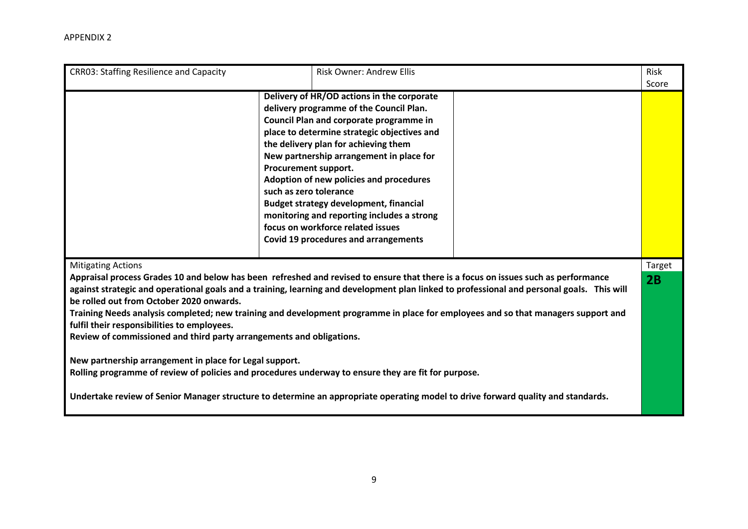| <b>CRR03: Staffing Resilience and Capacity</b>                                                                                                                                                                                                                                                                                                                                                                                                                                                                                                                                                                                                                                                                                                                                                                                                                                                                              | <b>Risk Owner: Andrew Ellis</b>                                                                                                                                                                                                                                                                                                                                                                                                                                                                                                                     |              | Risk<br>Score |
|-----------------------------------------------------------------------------------------------------------------------------------------------------------------------------------------------------------------------------------------------------------------------------------------------------------------------------------------------------------------------------------------------------------------------------------------------------------------------------------------------------------------------------------------------------------------------------------------------------------------------------------------------------------------------------------------------------------------------------------------------------------------------------------------------------------------------------------------------------------------------------------------------------------------------------|-----------------------------------------------------------------------------------------------------------------------------------------------------------------------------------------------------------------------------------------------------------------------------------------------------------------------------------------------------------------------------------------------------------------------------------------------------------------------------------------------------------------------------------------------------|--------------|---------------|
|                                                                                                                                                                                                                                                                                                                                                                                                                                                                                                                                                                                                                                                                                                                                                                                                                                                                                                                             | Delivery of HR/OD actions in the corporate<br>delivery programme of the Council Plan.<br>Council Plan and corporate programme in<br>place to determine strategic objectives and<br>the delivery plan for achieving them<br>New partnership arrangement in place for<br>Procurement support.<br>Adoption of new policies and procedures<br>such as zero tolerance<br><b>Budget strategy development, financial</b><br>monitoring and reporting includes a strong<br>focus on workforce related issues<br><b>Covid 19 procedures and arrangements</b> |              |               |
| <b>Mitigating Actions</b><br>Appraisal process Grades 10 and below has been refreshed and revised to ensure that there is a focus on issues such as performance<br>against strategic and operational goals and a training, learning and development plan linked to professional and personal goals. This will<br>be rolled out from October 2020 onwards.<br>Training Needs analysis completed; new training and development programme in place for employees and so that managers support and<br>fulfil their responsibilities to employees.<br>Review of commissioned and third party arrangements and obligations.<br>New partnership arrangement in place for Legal support.<br>Rolling programme of review of policies and procedures underway to ensure they are fit for purpose.<br>Undertake review of Senior Manager structure to determine an appropriate operating model to drive forward quality and standards. |                                                                                                                                                                                                                                                                                                                                                                                                                                                                                                                                                     | Target<br>2B |               |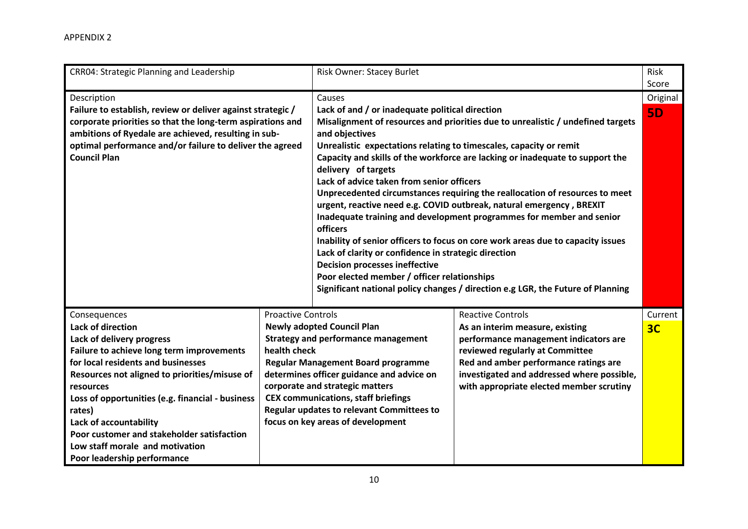| <b>CRR04: Strategic Planning and Leadership</b>                                                                                                                                                                                                                                                                                                                                                                                |                                           | <b>Risk Owner: Stacey Burlet</b>                                                                                                                                                                                                                                                                                                                                                                                                                                                                                                                                                                                                                                                                                                                                                                                                                                                                                                                 |                                                                                                                                                                                                                                                                            | Risk<br>Score |
|--------------------------------------------------------------------------------------------------------------------------------------------------------------------------------------------------------------------------------------------------------------------------------------------------------------------------------------------------------------------------------------------------------------------------------|-------------------------------------------|--------------------------------------------------------------------------------------------------------------------------------------------------------------------------------------------------------------------------------------------------------------------------------------------------------------------------------------------------------------------------------------------------------------------------------------------------------------------------------------------------------------------------------------------------------------------------------------------------------------------------------------------------------------------------------------------------------------------------------------------------------------------------------------------------------------------------------------------------------------------------------------------------------------------------------------------------|----------------------------------------------------------------------------------------------------------------------------------------------------------------------------------------------------------------------------------------------------------------------------|---------------|
| Description                                                                                                                                                                                                                                                                                                                                                                                                                    |                                           | Causes                                                                                                                                                                                                                                                                                                                                                                                                                                                                                                                                                                                                                                                                                                                                                                                                                                                                                                                                           |                                                                                                                                                                                                                                                                            | Original      |
| Failure to establish, review or deliver against strategic /<br>corporate priorities so that the long-term aspirations and<br>ambitions of Ryedale are achieved, resulting in sub-<br>optimal performance and/or failure to deliver the agreed<br><b>Council Plan</b>                                                                                                                                                           |                                           | Lack of and / or inadequate political direction<br>Misalignment of resources and priorities due to unrealistic / undefined targets<br>and objectives<br>Unrealistic expectations relating to timescales, capacity or remit<br>Capacity and skills of the workforce are lacking or inadequate to support the<br>delivery of targets<br>Lack of advice taken from senior officers<br>Unprecedented circumstances requiring the reallocation of resources to meet<br>urgent, reactive need e.g. COVID outbreak, natural emergency, BREXIT<br>Inadequate training and development programmes for member and senior<br>officers<br>Inability of senior officers to focus on core work areas due to capacity issues<br>Lack of clarity or confidence in strategic direction<br><b>Decision processes ineffective</b><br>Poor elected member / officer relationships<br>Significant national policy changes / direction e.g LGR, the Future of Planning |                                                                                                                                                                                                                                                                            | <b>5D</b>     |
| Consequences<br><b>Lack of direction</b><br>Lack of delivery progress<br>Failure to achieve long term improvements<br>for local residents and businesses<br>Resources not aligned to priorities/misuse of<br>resources<br>Loss of opportunities (e.g. financial - business<br>rates)<br>Lack of accountability<br>Poor customer and stakeholder satisfaction<br>Low staff morale and motivation<br>Poor leadership performance | <b>Proactive Controls</b><br>health check | <b>Newly adopted Council Plan</b><br><b>Strategy and performance management</b><br><b>Regular Management Board programme</b><br>determines officer guidance and advice on<br>corporate and strategic matters<br><b>CEX communications, staff briefings</b><br>Regular updates to relevant Committees to<br>focus on key areas of development                                                                                                                                                                                                                                                                                                                                                                                                                                                                                                                                                                                                     | <b>Reactive Controls</b><br>As an interim measure, existing<br>performance management indicators are<br>reviewed regularly at Committee<br>Red and amber performance ratings are<br>investigated and addressed where possible,<br>with appropriate elected member scrutiny | Current<br>3C |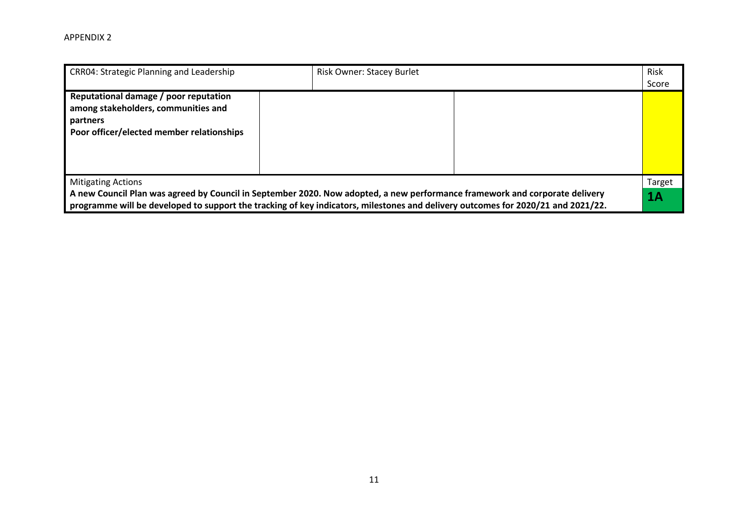| <b>CRR04: Strategic Planning and Leadership</b>                                                                                       | <b>Risk Owner: Stacey Burlet</b>                                                                                                 | Risk<br>Score |
|---------------------------------------------------------------------------------------------------------------------------------------|----------------------------------------------------------------------------------------------------------------------------------|---------------|
| Reputational damage / poor reputation<br>among stakeholders, communities and<br>partners<br>Poor officer/elected member relationships |                                                                                                                                  |               |
| <b>Mitigating Actions</b>                                                                                                             | A new Council Plan was agreed by Council in September 2020. Now adopted, a new performance framework and corporate delivery      | Target<br>1Α  |
|                                                                                                                                       | programme will be developed to support the tracking of key indicators, milestones and delivery outcomes for 2020/21 and 2021/22. |               |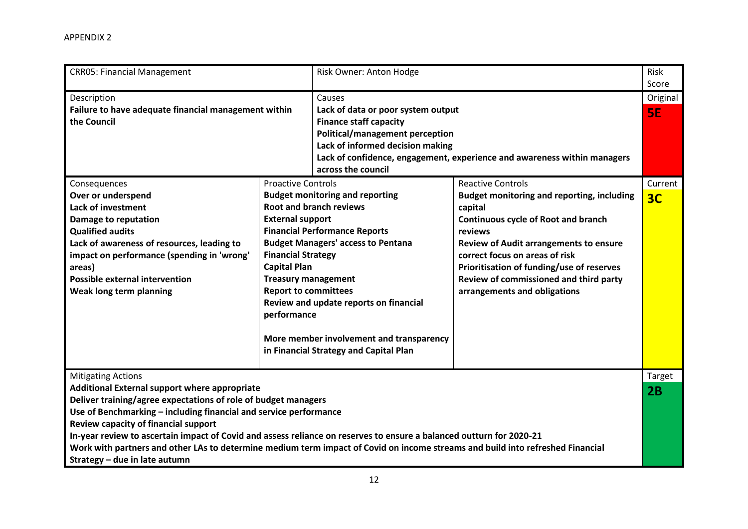| <b>CRR05: Financial Management</b>                                                                                                                                                                                                                                                                                                                                                                                                                                                                                                                   |                                                                                                                                                                                      | Risk Owner: Anton Hodge                                                                                                                                                                                                                                                                       |                                                                                                                                                                                                                                                                                                                                                             | Risk<br>Score             |
|------------------------------------------------------------------------------------------------------------------------------------------------------------------------------------------------------------------------------------------------------------------------------------------------------------------------------------------------------------------------------------------------------------------------------------------------------------------------------------------------------------------------------------------------------|--------------------------------------------------------------------------------------------------------------------------------------------------------------------------------------|-----------------------------------------------------------------------------------------------------------------------------------------------------------------------------------------------------------------------------------------------------------------------------------------------|-------------------------------------------------------------------------------------------------------------------------------------------------------------------------------------------------------------------------------------------------------------------------------------------------------------------------------------------------------------|---------------------------|
| Description<br>Failure to have adequate financial management within<br>the Council                                                                                                                                                                                                                                                                                                                                                                                                                                                                   |                                                                                                                                                                                      | Causes<br>Lack of data or poor system output<br><b>Finance staff capacity</b><br><b>Political/management perception</b><br>Lack of informed decision making<br>Lack of confidence, engagement, experience and awareness within managers<br>across the council                                 |                                                                                                                                                                                                                                                                                                                                                             | Original<br><b>SE</b>     |
| Consequences<br>Over or underspend<br><b>Lack of investment</b><br>Damage to reputation<br><b>Qualified audits</b><br>Lack of awareness of resources, leading to<br>impact on performance (spending in 'wrong'<br>areas)<br><b>Possible external intervention</b><br>Weak long term planning                                                                                                                                                                                                                                                         | <b>Proactive Controls</b><br><b>External support</b><br><b>Financial Strategy</b><br><b>Capital Plan</b><br><b>Treasury management</b><br><b>Report to committees</b><br>performance | <b>Budget monitoring and reporting</b><br><b>Root and branch reviews</b><br><b>Financial Performance Reports</b><br><b>Budget Managers' access to Pentana</b><br>Review and update reports on financial<br>More member involvement and transparency<br>in Financial Strategy and Capital Plan | <b>Reactive Controls</b><br><b>Budget monitoring and reporting, including</b><br>capital<br><b>Continuous cycle of Root and branch</b><br>reviews<br><b>Review of Audit arrangements to ensure</b><br>correct focus on areas of risk<br>Prioritisation of funding/use of reserves<br>Review of commissioned and third party<br>arrangements and obligations | Current<br>3 <sub>C</sub> |
| <b>Mitigating Actions</b><br>Additional External support where appropriate<br>Deliver training/agree expectations of role of budget managers<br>Use of Benchmarking - including financial and service performance<br>Review capacity of financial support<br>In-year review to ascertain impact of Covid and assess reliance on reserves to ensure a balanced outturn for 2020-21<br>Work with partners and other LAs to determine medium term impact of Covid on income streams and build into refreshed Financial<br>Strategy - due in late autumn |                                                                                                                                                                                      |                                                                                                                                                                                                                                                                                               |                                                                                                                                                                                                                                                                                                                                                             | <b>Target</b><br>2B       |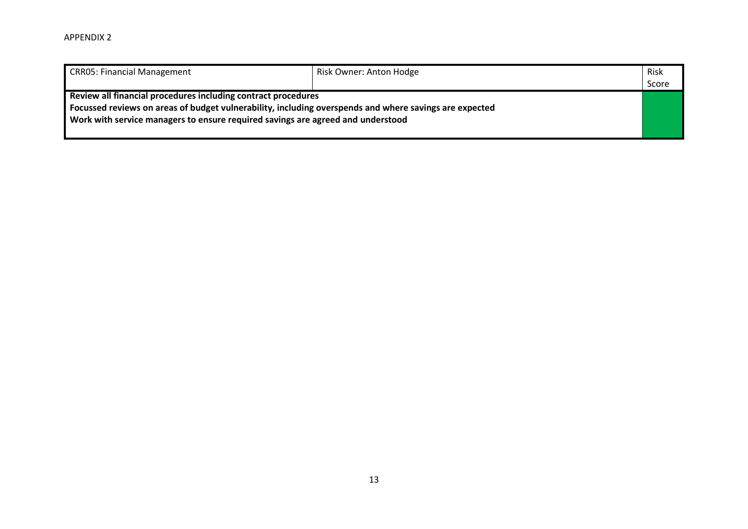| <b>CRR05: Financial Management</b>                                                                                                                                                                                                                         | Risk Owner: Anton Hodge | Risk<br>Score |
|------------------------------------------------------------------------------------------------------------------------------------------------------------------------------------------------------------------------------------------------------------|-------------------------|---------------|
| Review all financial procedures including contract procedures<br>Focussed reviews on areas of budget vulnerability, including overspends and where savings are expected<br>Work with service managers to ensure required savings are agreed and understood |                         |               |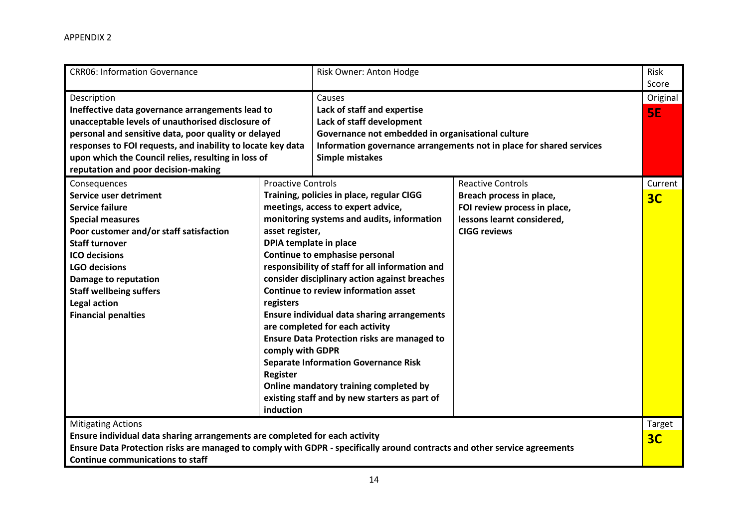| <b>CRR06: Information Governance</b>                                                                                                                                                                                                                                                                                                      |                                                                                                                                         | Risk Owner: Anton Hodge                                                                                                                                                                                                                                                                                                                                                                                                                                                                                                                                                                              |                                                                                                                                           | Risk<br>Score            |
|-------------------------------------------------------------------------------------------------------------------------------------------------------------------------------------------------------------------------------------------------------------------------------------------------------------------------------------------|-----------------------------------------------------------------------------------------------------------------------------------------|------------------------------------------------------------------------------------------------------------------------------------------------------------------------------------------------------------------------------------------------------------------------------------------------------------------------------------------------------------------------------------------------------------------------------------------------------------------------------------------------------------------------------------------------------------------------------------------------------|-------------------------------------------------------------------------------------------------------------------------------------------|--------------------------|
| Description<br>Ineffective data governance arrangements lead to<br>unacceptable levels of unauthorised disclosure of<br>personal and sensitive data, poor quality or delayed<br>responses to FOI requests, and inability to locate key data<br>upon which the Council relies, resulting in loss of<br>reputation and poor decision-making |                                                                                                                                         | Causes<br>Lack of staff and expertise<br>Lack of staff development<br>Governance not embedded in organisational culture<br><b>Simple mistakes</b>                                                                                                                                                                                                                                                                                                                                                                                                                                                    | Information governance arrangements not in place for shared services                                                                      | Original<br><b>SE</b>    |
| Consequences<br>Service user detriment<br><b>Service failure</b><br><b>Special measures</b><br>Poor customer and/or staff satisfaction<br><b>Staff turnover</b><br><b>ICO</b> decisions<br><b>LGO decisions</b><br><b>Damage to reputation</b><br><b>Staff wellbeing suffers</b><br><b>Legal action</b><br><b>Financial penalties</b>     | <b>Proactive Controls</b><br>asset register,<br>DPIA template in place<br>registers<br>comply with GDPR<br><b>Register</b><br>induction | Training, policies in place, regular CIGG<br>meetings, access to expert advice,<br>monitoring systems and audits, information<br>Continue to emphasise personal<br>responsibility of staff for all information and<br>consider disciplinary action against breaches<br>Continue to review information asset<br><b>Ensure individual data sharing arrangements</b><br>are completed for each activity<br><b>Ensure Data Protection risks are managed to</b><br><b>Separate Information Governance Risk</b><br>Online mandatory training completed by<br>existing staff and by new starters as part of | <b>Reactive Controls</b><br>Breach process in place,<br>FOI review process in place,<br>lessons learnt considered,<br><b>CIGG reviews</b> | Current<br>3C            |
| <b>Mitigating Actions</b><br>Ensure individual data sharing arrangements are completed for each activity<br>Ensure Data Protection risks are managed to comply with GDPR - specifically around contracts and other service agreements<br><b>Continue communications to staff</b>                                                          |                                                                                                                                         |                                                                                                                                                                                                                                                                                                                                                                                                                                                                                                                                                                                                      |                                                                                                                                           | Target<br>3 <sub>C</sub> |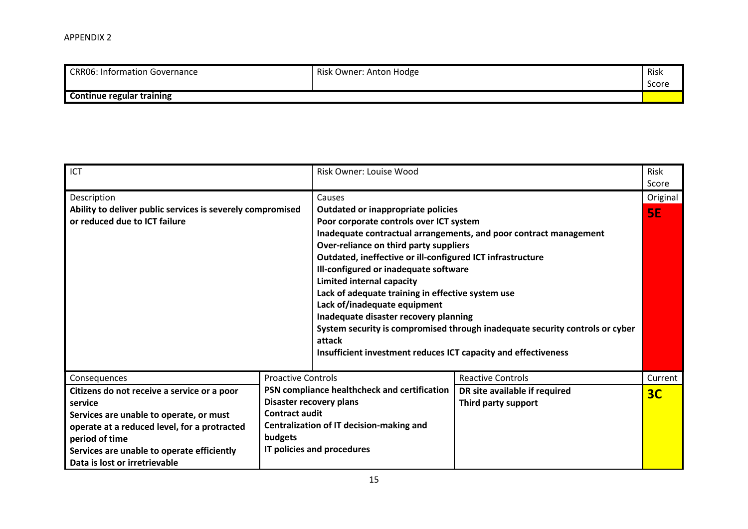| CRR06: Information Governance    | Risk Owner: Anton Hodge | Risk  |
|----------------------------------|-------------------------|-------|
|                                  |                         | Score |
| <b>Continue regular training</b> |                         |       |

| ICT                                                                                                                                                                                                                                                |                                  | Risk Owner: Louise Wood                                                                                                                                                                                                                                                                                                                                                                                                                                                      |                                                                                                                                                   | <b>Risk</b><br>Score |
|----------------------------------------------------------------------------------------------------------------------------------------------------------------------------------------------------------------------------------------------------|----------------------------------|------------------------------------------------------------------------------------------------------------------------------------------------------------------------------------------------------------------------------------------------------------------------------------------------------------------------------------------------------------------------------------------------------------------------------------------------------------------------------|---------------------------------------------------------------------------------------------------------------------------------------------------|----------------------|
| Description                                                                                                                                                                                                                                        |                                  | Causes                                                                                                                                                                                                                                                                                                                                                                                                                                                                       |                                                                                                                                                   | Original             |
| Ability to deliver public services is severely compromised<br>or reduced due to ICT failure                                                                                                                                                        |                                  | <b>Outdated or inappropriate policies</b><br>Poor corporate controls over ICT system<br>Over-reliance on third party suppliers<br>Outdated, ineffective or ill-configured ICT infrastructure<br>Ill-configured or inadequate software<br>Limited internal capacity<br>Lack of adequate training in effective system use<br>Lack of/inadequate equipment<br>Inadequate disaster recovery planning<br>attack<br>Insufficient investment reduces ICT capacity and effectiveness | Inadequate contractual arrangements, and poor contract management<br>System security is compromised through inadequate security controls or cyber | <b>5E</b>            |
| Consequences                                                                                                                                                                                                                                       | <b>Proactive Controls</b>        |                                                                                                                                                                                                                                                                                                                                                                                                                                                                              | <b>Reactive Controls</b>                                                                                                                          | Current              |
| Citizens do not receive a service or a poor<br>service<br>Services are unable to operate, or must<br>operate at a reduced level, for a protracted<br>period of time<br>Services are unable to operate efficiently<br>Data is lost or irretrievable | <b>Contract audit</b><br>budgets | PSN compliance healthcheck and certification<br>Disaster recovery plans<br>Centralization of IT decision-making and<br>IT policies and procedures                                                                                                                                                                                                                                                                                                                            | DR site available if required<br>Third party support                                                                                              | 3 <sub>C</sub>       |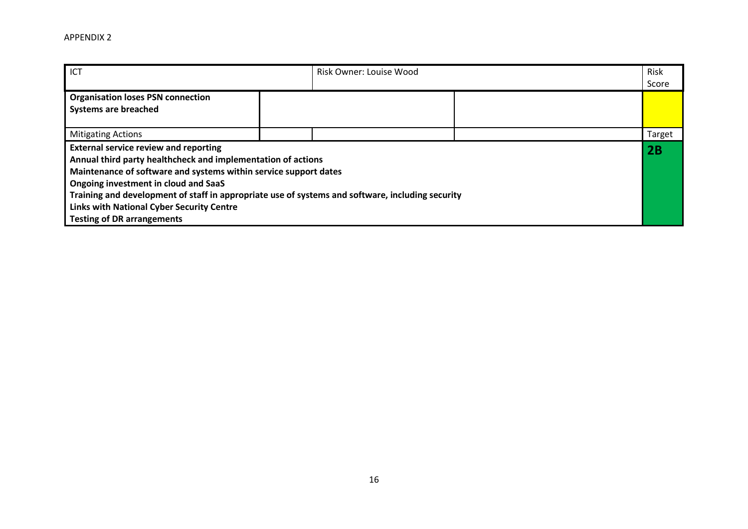| ICT                                                                                                                                                                                                                                                                                                                                                                                                                   | Risk Owner: Louise Wood |  | Risk<br>Score |
|-----------------------------------------------------------------------------------------------------------------------------------------------------------------------------------------------------------------------------------------------------------------------------------------------------------------------------------------------------------------------------------------------------------------------|-------------------------|--|---------------|
| <b>Organisation loses PSN connection</b><br><b>Systems are breached</b>                                                                                                                                                                                                                                                                                                                                               |                         |  |               |
| <b>Mitigating Actions</b>                                                                                                                                                                                                                                                                                                                                                                                             |                         |  | Target        |
| <b>External service review and reporting</b><br>Annual third party healthcheck and implementation of actions<br>Maintenance of software and systems within service support dates<br>Ongoing investment in cloud and SaaS<br>Training and development of staff in appropriate use of systems and software, including security<br><b>Links with National Cyber Security Centre</b><br><b>Testing of DR arrangements</b> |                         |  | 2B            |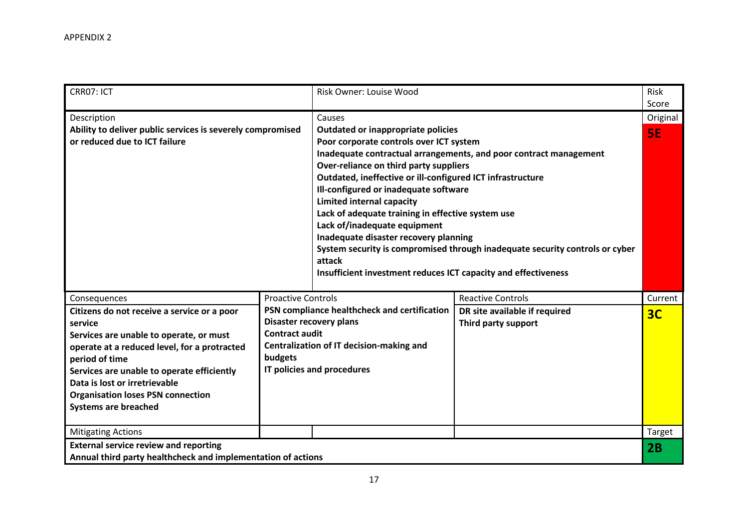| CRR07: ICT                                                                                                                                                                                                                                                                                                                    |                                                                                                                                                                                       | <b>Risk Owner: Louise Wood</b>                                                                                                                                                                                                                                                                                                                                                                                                                                               |                                                                                                                                                   | Risk<br>Score  |
|-------------------------------------------------------------------------------------------------------------------------------------------------------------------------------------------------------------------------------------------------------------------------------------------------------------------------------|---------------------------------------------------------------------------------------------------------------------------------------------------------------------------------------|------------------------------------------------------------------------------------------------------------------------------------------------------------------------------------------------------------------------------------------------------------------------------------------------------------------------------------------------------------------------------------------------------------------------------------------------------------------------------|---------------------------------------------------------------------------------------------------------------------------------------------------|----------------|
| Description                                                                                                                                                                                                                                                                                                                   |                                                                                                                                                                                       | Causes                                                                                                                                                                                                                                                                                                                                                                                                                                                                       |                                                                                                                                                   | Original       |
| Ability to deliver public services is severely compromised<br>or reduced due to ICT failure                                                                                                                                                                                                                                   |                                                                                                                                                                                       | Outdated or inappropriate policies<br>Poor corporate controls over ICT system<br>Over-reliance on third party suppliers<br>Outdated, ineffective or ill-configured ICT infrastructure<br>Ill-configured or inadequate software<br><b>Limited internal capacity</b><br>Lack of adequate training in effective system use<br>Lack of/inadequate equipment<br>Inadequate disaster recovery planning<br>attack<br>Insufficient investment reduces ICT capacity and effectiveness | Inadequate contractual arrangements, and poor contract management<br>System security is compromised through inadequate security controls or cyber | SE.            |
| Consequences                                                                                                                                                                                                                                                                                                                  | <b>Proactive Controls</b>                                                                                                                                                             |                                                                                                                                                                                                                                                                                                                                                                                                                                                                              | <b>Reactive Controls</b>                                                                                                                          | Current        |
| Citizens do not receive a service or a poor<br>service<br>Services are unable to operate, or must<br>operate at a reduced level, for a protracted<br>period of time<br>Services are unable to operate efficiently<br>Data is lost or irretrievable<br><b>Organisation loses PSN connection</b><br><b>Systems are breached</b> | PSN compliance healthcheck and certification<br>Disaster recovery plans<br><b>Contract audit</b><br>Centralization of IT decision-making and<br>budgets<br>IT policies and procedures |                                                                                                                                                                                                                                                                                                                                                                                                                                                                              | DR site available if required<br>Third party support                                                                                              | 3 <sub>C</sub> |
| <b>Mitigating Actions</b>                                                                                                                                                                                                                                                                                                     |                                                                                                                                                                                       |                                                                                                                                                                                                                                                                                                                                                                                                                                                                              |                                                                                                                                                   | Target         |
| <b>External service review and reporting</b><br>Annual third party healthcheck and implementation of actions                                                                                                                                                                                                                  |                                                                                                                                                                                       |                                                                                                                                                                                                                                                                                                                                                                                                                                                                              |                                                                                                                                                   | 2B             |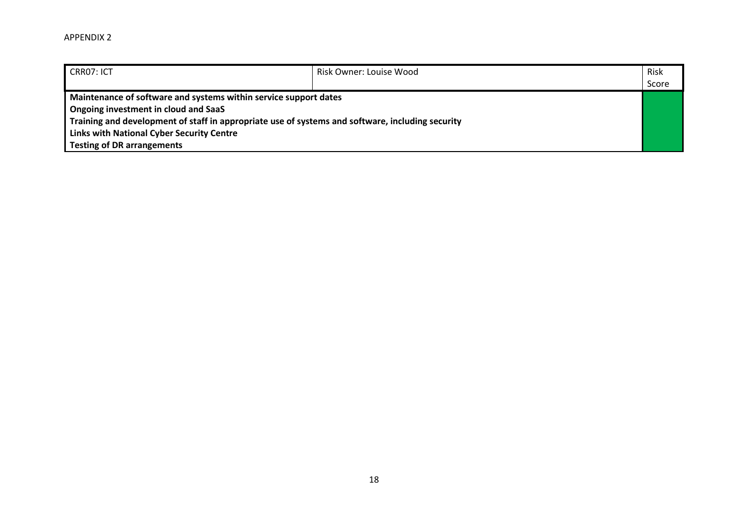| CRR07: ICT                                                                                       | Risk Owner: Louise Wood | Risk  |
|--------------------------------------------------------------------------------------------------|-------------------------|-------|
|                                                                                                  |                         | Score |
| Maintenance of software and systems within service support dates                                 |                         |       |
| Ongoing investment in cloud and SaaS                                                             |                         |       |
| Training and development of staff in appropriate use of systems and software, including security |                         |       |
| <b>Links with National Cyber Security Centre</b>                                                 |                         |       |
| <b>Testing of DR arrangements</b>                                                                |                         |       |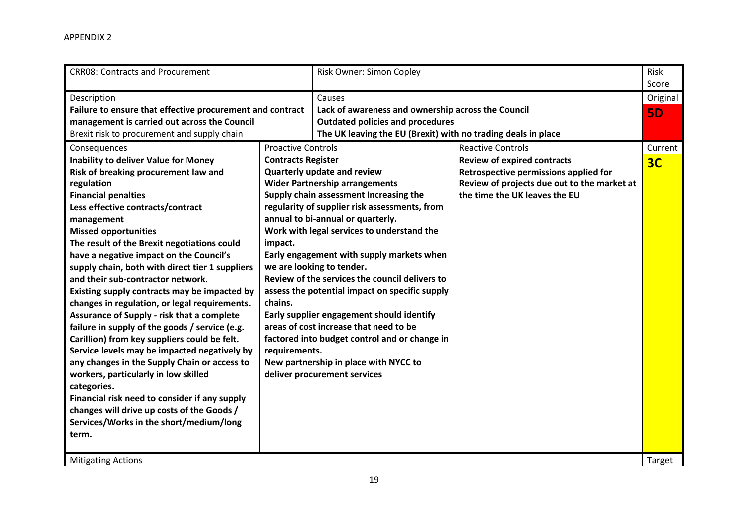| Description<br>Causes<br>Failure to ensure that effective procurement and contract<br>Lack of awareness and ownership across the Council<br>management is carried out across the Council<br><b>Outdated policies and procedures</b><br>Brexit risk to procurement and supply chain<br>The UK leaving the EU (Brexit) with no trading deals in place<br><b>Proactive Controls</b><br>Consequences<br><b>Inability to deliver Value for Money</b><br><b>Contracts Register</b><br>Quarterly update and review<br>Risk of breaking procurement law and<br><b>Wider Partnership arrangements</b><br>regulation<br>Supply chain assessment Increasing the<br><b>Financial penalties</b><br>regularity of supplier risk assessments, from<br>Less effective contracts/contract<br>annual to bi-annual or quarterly.<br>management<br>Work with legal services to understand the<br><b>Missed opportunities</b><br>The result of the Brexit negotiations could<br>impact.<br>have a negative impact on the Council's<br>Early engagement with supply markets when<br>supply chain, both with direct tier 1 suppliers<br>we are looking to tender.<br>Review of the services the council delivers to<br>and their sub-contractor network.<br>assess the potential impact on specific supply<br>Existing supply contracts may be impacted by<br>chains.<br>changes in regulation, or legal requirements.<br>Assurance of Supply - risk that a complete<br>Early supplier engagement should identify<br>areas of cost increase that need to be<br>failure in supply of the goods / service (e.g.<br>factored into budget control and or change in<br>Carillion) from key suppliers could be felt.<br>Service levels may be impacted negatively by<br>requirements. | <b>Reactive Controls</b><br><b>Review of expired contracts</b><br>Retrospective permissions applied for<br>Review of projects due out to the market at<br>the time the UK leaves the EU | Score<br>Original<br><b>5D</b><br>Current<br>3C |
|----------------------------------------------------------------------------------------------------------------------------------------------------------------------------------------------------------------------------------------------------------------------------------------------------------------------------------------------------------------------------------------------------------------------------------------------------------------------------------------------------------------------------------------------------------------------------------------------------------------------------------------------------------------------------------------------------------------------------------------------------------------------------------------------------------------------------------------------------------------------------------------------------------------------------------------------------------------------------------------------------------------------------------------------------------------------------------------------------------------------------------------------------------------------------------------------------------------------------------------------------------------------------------------------------------------------------------------------------------------------------------------------------------------------------------------------------------------------------------------------------------------------------------------------------------------------------------------------------------------------------------------------------------------------------------------------------------------------------------------------------------|-----------------------------------------------------------------------------------------------------------------------------------------------------------------------------------------|-------------------------------------------------|
|                                                                                                                                                                                                                                                                                                                                                                                                                                                                                                                                                                                                                                                                                                                                                                                                                                                                                                                                                                                                                                                                                                                                                                                                                                                                                                                                                                                                                                                                                                                                                                                                                                                                                                                                                          |                                                                                                                                                                                         |                                                 |
| New partnership in place with NYCC to<br>any changes in the Supply Chain or access to<br>deliver procurement services<br>workers, particularly in low skilled<br>categories.<br>Financial risk need to consider if any supply<br>changes will drive up costs of the Goods /<br>Services/Works in the short/medium/long<br>term.                                                                                                                                                                                                                                                                                                                                                                                                                                                                                                                                                                                                                                                                                                                                                                                                                                                                                                                                                                                                                                                                                                                                                                                                                                                                                                                                                                                                                          |                                                                                                                                                                                         |                                                 |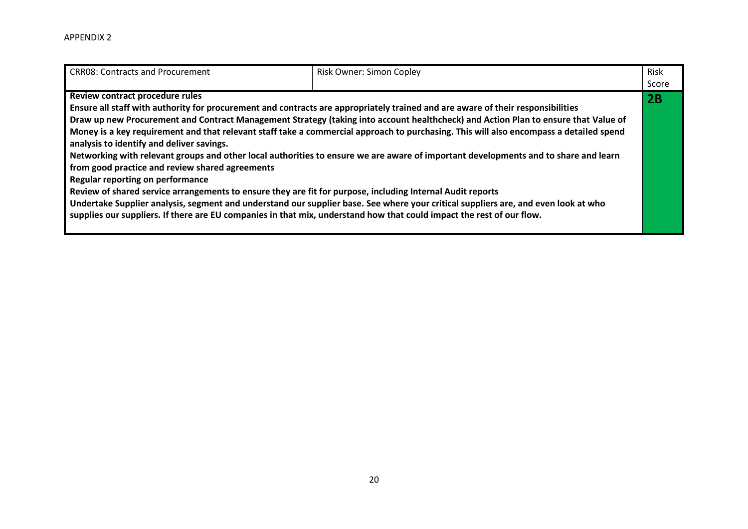| <b>CRR08: Contracts and Procurement</b>                                                                               | <b>Risk Owner: Simon Copley</b>                                                                                                        | <b>Risk</b> |
|-----------------------------------------------------------------------------------------------------------------------|----------------------------------------------------------------------------------------------------------------------------------------|-------------|
|                                                                                                                       |                                                                                                                                        | Score       |
| Review contract procedure rules                                                                                       |                                                                                                                                        | 2B          |
|                                                                                                                       | Ensure all staff with authority for procurement and contracts are appropriately trained and are aware of their responsibilities        |             |
|                                                                                                                       | Draw up new Procurement and Contract Management Strategy (taking into account healthcheck) and Action Plan to ensure that Value of     |             |
|                                                                                                                       | Money is a key requirement and that relevant staff take a commercial approach to purchasing. This will also encompass a detailed spend |             |
| analysis to identify and deliver savings.                                                                             |                                                                                                                                        |             |
|                                                                                                                       | Networking with relevant groups and other local authorities to ensure we are aware of important developments and to share and learn    |             |
| from good practice and review shared agreements                                                                       |                                                                                                                                        |             |
| <b>Regular reporting on performance</b>                                                                               |                                                                                                                                        |             |
| Review of shared service arrangements to ensure they are fit for purpose, including Internal Audit reports            |                                                                                                                                        |             |
|                                                                                                                       | Undertake Supplier analysis, segment and understand our supplier base. See where your critical suppliers are, and even look at who     |             |
| supplies our suppliers. If there are EU companies in that mix, understand how that could impact the rest of our flow. |                                                                                                                                        |             |
|                                                                                                                       |                                                                                                                                        |             |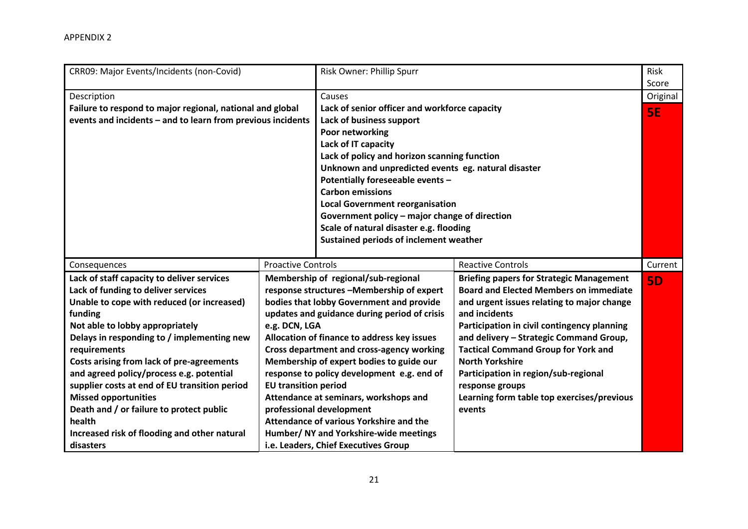| CRR09: Major Events/Incidents (non-Covid)                   |                             | Risk Owner: Phillip Spurr                           |                                                 | Risk<br>Score |
|-------------------------------------------------------------|-----------------------------|-----------------------------------------------------|-------------------------------------------------|---------------|
| Description                                                 |                             | Causes                                              |                                                 | Original      |
| Failure to respond to major regional, national and global   |                             | Lack of senior officer and workforce capacity       |                                                 | <b>5E</b>     |
| events and incidents - and to learn from previous incidents |                             | Lack of business support                            |                                                 |               |
|                                                             |                             | Poor networking                                     |                                                 |               |
|                                                             |                             | Lack of IT capacity                                 |                                                 |               |
|                                                             |                             | Lack of policy and horizon scanning function        |                                                 |               |
|                                                             |                             | Unknown and unpredicted events eg. natural disaster |                                                 |               |
|                                                             |                             | Potentially foreseeable events -                    |                                                 |               |
|                                                             |                             | <b>Carbon emissions</b>                             |                                                 |               |
|                                                             |                             | <b>Local Government reorganisation</b>              |                                                 |               |
|                                                             |                             | Government policy - major change of direction       |                                                 |               |
|                                                             |                             | Scale of natural disaster e.g. flooding             |                                                 |               |
|                                                             |                             | Sustained periods of inclement weather              |                                                 |               |
|                                                             |                             |                                                     |                                                 |               |
| Consequences                                                | <b>Proactive Controls</b>   |                                                     | <b>Reactive Controls</b>                        | Current       |
| Lack of staff capacity to deliver services                  |                             | Membership of regional/sub-regional                 | <b>Briefing papers for Strategic Management</b> | <b>5D</b>     |
| Lack of funding to deliver services                         |                             | response structures -Membership of expert           | <b>Board and Elected Members on immediate</b>   |               |
| Unable to cope with reduced (or increased)                  |                             | bodies that lobby Government and provide            | and urgent issues relating to major change      |               |
| funding                                                     |                             |                                                     |                                                 |               |
|                                                             |                             | updates and guidance during period of crisis        | and incidents                                   |               |
| Not able to lobby appropriately                             | e.g. DCN, LGA               |                                                     | Participation in civil contingency planning     |               |
| Delays in responding to / implementing new                  |                             | Allocation of finance to address key issues         | and delivery - Strategic Command Group,         |               |
| requirements                                                |                             | <b>Cross department and cross-agency working</b>    | <b>Tactical Command Group for York and</b>      |               |
| Costs arising from lack of pre-agreements                   |                             | Membership of expert bodies to guide our            | <b>North Yorkshire</b>                          |               |
| and agreed policy/process e.g. potential                    |                             | response to policy development e.g. end of          | Participation in region/sub-regional            |               |
| supplier costs at end of EU transition period               | <b>EU transition period</b> |                                                     | response groups                                 |               |
| <b>Missed opportunities</b>                                 |                             | Attendance at seminars, workshops and               | Learning form table top exercises/previous      |               |
| Death and / or failure to protect public                    |                             | professional development                            | events                                          |               |
| health                                                      |                             | Attendance of various Yorkshire and the             |                                                 |               |
| Increased risk of flooding and other natural                |                             | Humber/ NY and Yorkshire-wide meetings              |                                                 |               |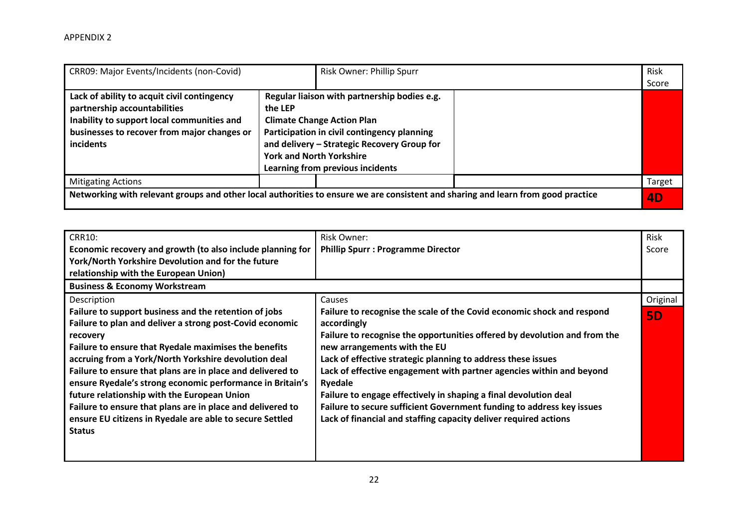| CRR09: Major Events/Incidents (non-Covid)                                                                                                                                             |         | Risk Owner: Phillip Spurr                                                                                                                                                                                                                              | Risk<br>Score |
|---------------------------------------------------------------------------------------------------------------------------------------------------------------------------------------|---------|--------------------------------------------------------------------------------------------------------------------------------------------------------------------------------------------------------------------------------------------------------|---------------|
| Lack of ability to acquit civil contingency<br>partnership accountabilities<br>Inability to support local communities and<br>businesses to recover from major changes or<br>incidents | the LEP | Regular liaison with partnership bodies e.g.<br><b>Climate Change Action Plan</b><br>Participation in civil contingency planning<br>and delivery - Strategic Recovery Group for<br><b>York and North Yorkshire</b><br>Learning from previous incidents |               |
| <b>Mitigating Actions</b>                                                                                                                                                             |         |                                                                                                                                                                                                                                                        | Target        |
|                                                                                                                                                                                       |         | Networking with relevant groups and other local authorities to ensure we are consistent and sharing and learn from good practice                                                                                                                       | 4D            |

| <b>CRR10:</b>                                              | Risk Owner:                                                               | Risk      |
|------------------------------------------------------------|---------------------------------------------------------------------------|-----------|
| Economic recovery and growth (to also include planning for | <b>Phillip Spurr : Programme Director</b>                                 | Score     |
| York/North Yorkshire Devolution and for the future         |                                                                           |           |
| relationship with the European Union)                      |                                                                           |           |
| <b>Business &amp; Economy Workstream</b>                   |                                                                           |           |
| Description                                                | Causes                                                                    | Original  |
| Failure to support business and the retention of jobs      | Failure to recognise the scale of the Covid economic shock and respond    | <b>5D</b> |
| Failure to plan and deliver a strong post-Covid economic   | accordingly                                                               |           |
| recovery                                                   | Failure to recognise the opportunities offered by devolution and from the |           |
| Failure to ensure that Ryedale maximises the benefits      | new arrangements with the EU                                              |           |
| accruing from a York/North Yorkshire devolution deal       | Lack of effective strategic planning to address these issues              |           |
| Failure to ensure that plans are in place and delivered to | Lack of effective engagement with partner agencies within and beyond      |           |
| ensure Ryedale's strong economic performance in Britain's  | Ryedale                                                                   |           |
| future relationship with the European Union                | Failure to engage effectively in shaping a final devolution deal          |           |
| Failure to ensure that plans are in place and delivered to | Failure to secure sufficient Government funding to address key issues     |           |
| ensure EU citizens in Ryedale are able to secure Settled   | Lack of financial and staffing capacity deliver required actions          |           |
| <b>Status</b>                                              |                                                                           |           |
|                                                            |                                                                           |           |
|                                                            |                                                                           |           |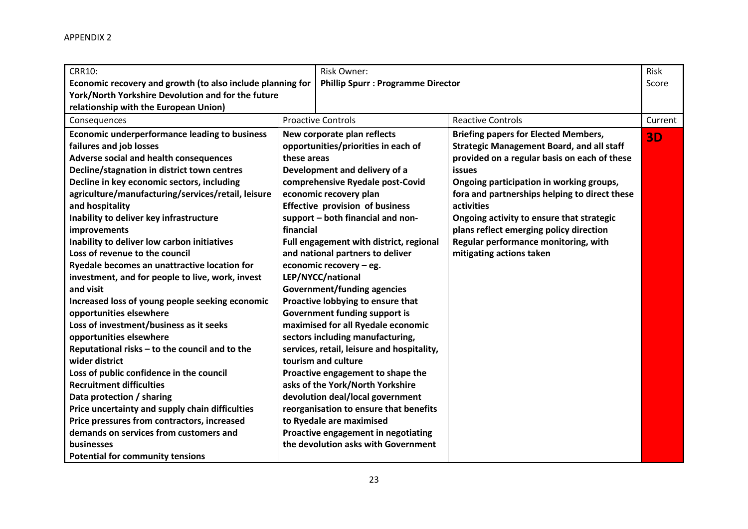| <b>CRR10:</b><br>Economic recovery and growth (to also include planning for<br>York/North Yorkshire Devolution and for the future<br>relationship with the European Union)                                                                                                                                                                                                                                                                                                                                                                                                                                                                                                                                                                                                                                                                                                                                                                                                                                                                                                                            |                          | Risk Owner:<br><b>Phillip Spurr : Programme Director</b>                                                                                                                                                                                                                                                                                                                                                                                                                                                                                                                                                                                                                                                                                                                                                                                                                                                           |                                                                                                                                                                                                                                                                                                                                                                                                                                  | Risk<br>Score |
|-------------------------------------------------------------------------------------------------------------------------------------------------------------------------------------------------------------------------------------------------------------------------------------------------------------------------------------------------------------------------------------------------------------------------------------------------------------------------------------------------------------------------------------------------------------------------------------------------------------------------------------------------------------------------------------------------------------------------------------------------------------------------------------------------------------------------------------------------------------------------------------------------------------------------------------------------------------------------------------------------------------------------------------------------------------------------------------------------------|--------------------------|--------------------------------------------------------------------------------------------------------------------------------------------------------------------------------------------------------------------------------------------------------------------------------------------------------------------------------------------------------------------------------------------------------------------------------------------------------------------------------------------------------------------------------------------------------------------------------------------------------------------------------------------------------------------------------------------------------------------------------------------------------------------------------------------------------------------------------------------------------------------------------------------------------------------|----------------------------------------------------------------------------------------------------------------------------------------------------------------------------------------------------------------------------------------------------------------------------------------------------------------------------------------------------------------------------------------------------------------------------------|---------------|
| Consequences                                                                                                                                                                                                                                                                                                                                                                                                                                                                                                                                                                                                                                                                                                                                                                                                                                                                                                                                                                                                                                                                                          |                          | <b>Proactive Controls</b>                                                                                                                                                                                                                                                                                                                                                                                                                                                                                                                                                                                                                                                                                                                                                                                                                                                                                          | <b>Reactive Controls</b>                                                                                                                                                                                                                                                                                                                                                                                                         | Current       |
| <b>Economic underperformance leading to business</b><br>failures and job losses<br>Adverse social and health consequences<br>Decline/stagnation in district town centres<br>Decline in key economic sectors, including<br>agriculture/manufacturing/services/retail, leisure<br>and hospitality<br>Inability to deliver key infrastructure<br>improvements<br>Inability to deliver low carbon initiatives<br>Loss of revenue to the council<br>Ryedale becomes an unattractive location for<br>investment, and for people to live, work, invest<br>and visit<br>Increased loss of young people seeking economic<br>opportunities elsewhere<br>Loss of investment/business as it seeks<br>opportunities elsewhere<br>Reputational risks - to the council and to the<br>wider district<br>Loss of public confidence in the council<br><b>Recruitment difficulties</b><br>Data protection / sharing<br>Price uncertainty and supply chain difficulties<br>Price pressures from contractors, increased<br>demands on services from customers and<br>businesses<br><b>Potential for community tensions</b> | these areas<br>financial | New corporate plan reflects<br>opportunities/priorities in each of<br>Development and delivery of a<br>comprehensive Ryedale post-Covid<br>economic recovery plan<br><b>Effective provision of business</b><br>support - both financial and non-<br>Full engagement with district, regional<br>and national partners to deliver<br>economic recovery - eg.<br>LEP/NYCC/national<br><b>Government/funding agencies</b><br>Proactive lobbying to ensure that<br><b>Government funding support is</b><br>maximised for all Ryedale economic<br>sectors including manufacturing,<br>services, retail, leisure and hospitality,<br>tourism and culture<br>Proactive engagement to shape the<br>asks of the York/North Yorkshire<br>devolution deal/local government<br>reorganisation to ensure that benefits<br>to Ryedale are maximised<br>Proactive engagement in negotiating<br>the devolution asks with Government | <b>Briefing papers for Elected Members,</b><br><b>Strategic Management Board, and all staff</b><br>provided on a regular basis on each of these<br>issues<br>Ongoing participation in working groups,<br>fora and partnerships helping to direct these<br>activities<br>Ongoing activity to ensure that strategic<br>plans reflect emerging policy direction<br>Regular performance monitoring, with<br>mitigating actions taken | <b>3D</b>     |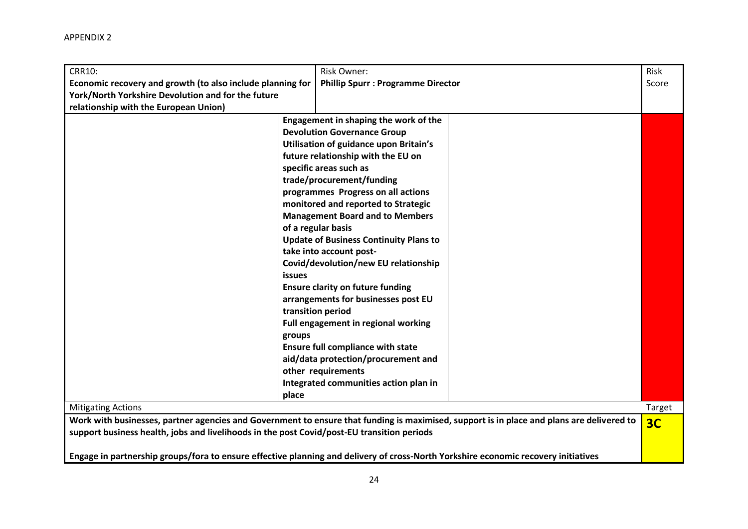| <b>CRR10:</b><br>Economic recovery and growth (to also include planning for<br>York/North Yorkshire Devolution and for the future |                                  | <b>Risk Owner:</b><br><b>Phillip Spurr : Programme Director</b>                                                                                                                                                                                                                                                                                                                                                                                                                                                                                                                                                                                                                                                                                                                     | Risk<br>Score  |
|-----------------------------------------------------------------------------------------------------------------------------------|----------------------------------|-------------------------------------------------------------------------------------------------------------------------------------------------------------------------------------------------------------------------------------------------------------------------------------------------------------------------------------------------------------------------------------------------------------------------------------------------------------------------------------------------------------------------------------------------------------------------------------------------------------------------------------------------------------------------------------------------------------------------------------------------------------------------------------|----------------|
| relationship with the European Union)                                                                                             |                                  |                                                                                                                                                                                                                                                                                                                                                                                                                                                                                                                                                                                                                                                                                                                                                                                     |                |
| <b>Mitigating Actions</b>                                                                                                         | <b>issues</b><br>groups<br>place | Engagement in shaping the work of the<br><b>Devolution Governance Group</b><br>Utilisation of guidance upon Britain's<br>future relationship with the EU on<br>specific areas such as<br>trade/procurement/funding<br>programmes Progress on all actions<br>monitored and reported to Strategic<br><b>Management Board and to Members</b><br>of a regular basis<br><b>Update of Business Continuity Plans to</b><br>take into account post-<br>Covid/devolution/new EU relationship<br><b>Ensure clarity on future funding</b><br>arrangements for businesses post EU<br>transition period<br>Full engagement in regional working<br><b>Ensure full compliance with state</b><br>aid/data protection/procurement and<br>other requirements<br>Integrated communities action plan in | Target         |
| support business health, jobs and livelihoods in the post Covid/post-EU transition periods                                        |                                  | Work with businesses, partner agencies and Government to ensure that funding is maximised, support is in place and plans are delivered to<br>Engage in partnership groups/fora to ensure effective planning and delivery of cross-North Yorkshire economic recovery initiatives                                                                                                                                                                                                                                                                                                                                                                                                                                                                                                     | 3 <sub>C</sub> |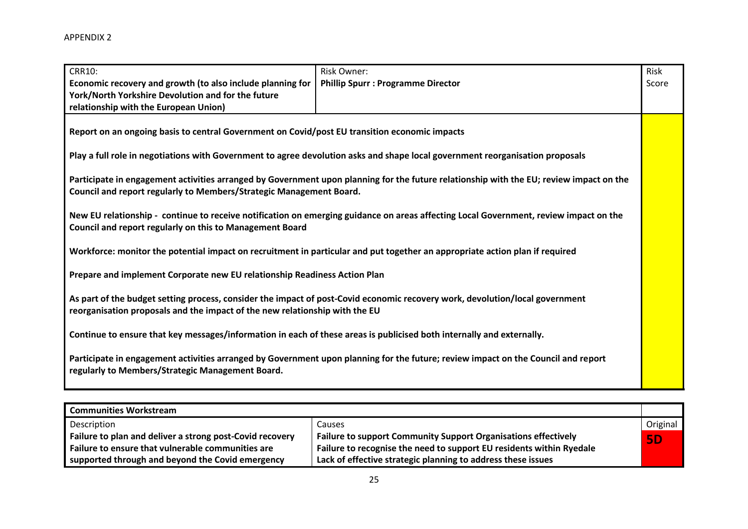| <b>CRR10:</b>                                                                                                                                                                                               | <b>Risk Owner:</b>                                                                                                                      | Risk  |  |  |  |  |
|-------------------------------------------------------------------------------------------------------------------------------------------------------------------------------------------------------------|-----------------------------------------------------------------------------------------------------------------------------------------|-------|--|--|--|--|
| Economic recovery and growth (to also include planning for                                                                                                                                                  | <b>Phillip Spurr: Programme Director</b>                                                                                                | Score |  |  |  |  |
| York/North Yorkshire Devolution and for the future                                                                                                                                                          |                                                                                                                                         |       |  |  |  |  |
| relationship with the European Union)                                                                                                                                                                       |                                                                                                                                         |       |  |  |  |  |
|                                                                                                                                                                                                             | Report on an ongoing basis to central Government on Covid/post EU transition economic impacts                                           |       |  |  |  |  |
|                                                                                                                                                                                                             | Play a full role in negotiations with Government to agree devolution asks and shape local government reorganisation proposals           |       |  |  |  |  |
| Council and report regularly to Members/Strategic Management Board.                                                                                                                                         | Participate in engagement activities arranged by Government upon planning for the future relationship with the EU; review impact on the |       |  |  |  |  |
| New EU relationship - continue to receive notification on emerging guidance on areas affecting Local Government, review impact on the<br>Council and report regularly on this to Management Board           |                                                                                                                                         |       |  |  |  |  |
|                                                                                                                                                                                                             | Workforce: monitor the potential impact on recruitment in particular and put together an appropriate action plan if required            |       |  |  |  |  |
| Prepare and implement Corporate new EU relationship Readiness Action Plan                                                                                                                                   |                                                                                                                                         |       |  |  |  |  |
| As part of the budget setting process, consider the impact of post-Covid economic recovery work, devolution/local government<br>reorganisation proposals and the impact of the new relationship with the EU |                                                                                                                                         |       |  |  |  |  |
| Continue to ensure that key messages/information in each of these areas is publicised both internally and externally.                                                                                       |                                                                                                                                         |       |  |  |  |  |
| regularly to Members/Strategic Management Board.                                                                                                                                                            | Participate in engagement activities arranged by Government upon planning for the future; review impact on the Council and report       |       |  |  |  |  |

| <b>Communities Workstream</b>                            |                                                                       |           |
|----------------------------------------------------------|-----------------------------------------------------------------------|-----------|
| Description                                              | Causes                                                                | Original  |
| Failure to plan and deliver a strong post-Covid recovery | <b>Failure to support Community Support Organisations effectively</b> | <b>5D</b> |
| Failure to ensure that vulnerable communities are        | Failure to recognise the need to support EU residents within Ryedale  |           |
| supported through and beyond the Covid emergency         | Lack of effective strategic planning to address these issues          |           |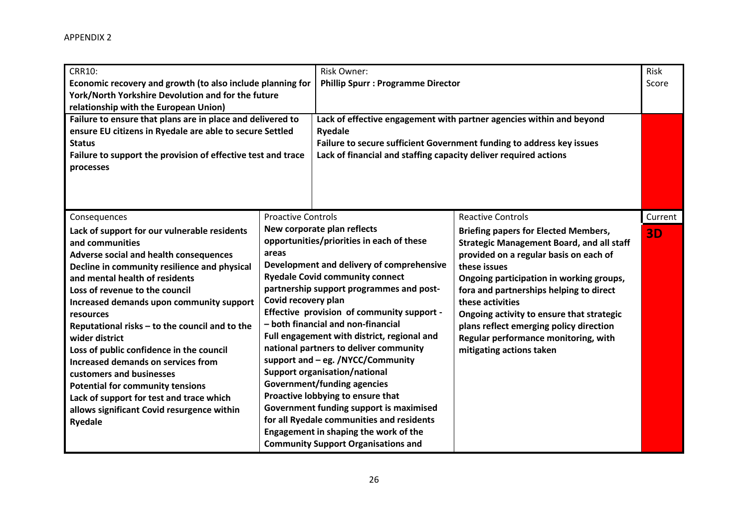| <b>CRR10:</b><br>Economic recovery and growth (to also include planning for<br>York/North Yorkshire Devolution and for the future<br>relationship with the European Union)<br>Failure to ensure that plans are in place and delivered to<br>ensure EU citizens in Ryedale are able to secure Settled<br><b>Status</b><br>Failure to support the provision of effective test and trace<br>processes                                                                                                                                                                                                                                                     |                                                           | <b>Risk Owner:</b><br><b>Phillip Spurr : Programme Director</b><br><b>Ryedale</b><br>Lack of financial and staffing capacity deliver required actions                                                                                                                                                                                                                                                                                                                                                                                                                                                                                                                                                                           | Lack of effective engagement with partner agencies within and beyond<br>Failure to secure sufficient Government funding to address key issues                                                                                                                                                                                                                                                                                                                | Risk<br>Score        |
|--------------------------------------------------------------------------------------------------------------------------------------------------------------------------------------------------------------------------------------------------------------------------------------------------------------------------------------------------------------------------------------------------------------------------------------------------------------------------------------------------------------------------------------------------------------------------------------------------------------------------------------------------------|-----------------------------------------------------------|---------------------------------------------------------------------------------------------------------------------------------------------------------------------------------------------------------------------------------------------------------------------------------------------------------------------------------------------------------------------------------------------------------------------------------------------------------------------------------------------------------------------------------------------------------------------------------------------------------------------------------------------------------------------------------------------------------------------------------|--------------------------------------------------------------------------------------------------------------------------------------------------------------------------------------------------------------------------------------------------------------------------------------------------------------------------------------------------------------------------------------------------------------------------------------------------------------|----------------------|
| Consequences<br>Lack of support for our vulnerable residents<br>and communities<br>Adverse social and health consequences<br>Decline in community resilience and physical<br>and mental health of residents<br>Loss of revenue to the council<br>Increased demands upon community support<br>resources<br>Reputational risks - to the council and to the<br>wider district<br>Loss of public confidence in the council<br><b>Increased demands on services from</b><br>customers and businesses<br><b>Potential for community tensions</b><br>Lack of support for test and trace which<br>allows significant Covid resurgence within<br><b>Ryedale</b> | <b>Proactive Controls</b><br>areas<br>Covid recovery plan | New corporate plan reflects<br>opportunities/priorities in each of these<br>Development and delivery of comprehensive<br><b>Ryedale Covid community connect</b><br>partnership support programmes and post-<br>Effective provision of community support -<br>- both financial and non-financial<br>Full engagement with district, regional and<br>national partners to deliver community<br>support and - eg. /NYCC/Community<br><b>Support organisation/national</b><br><b>Government/funding agencies</b><br>Proactive lobbying to ensure that<br>Government funding support is maximised<br>for all Ryedale communities and residents<br>Engagement in shaping the work of the<br><b>Community Support Organisations and</b> | <b>Reactive Controls</b><br><b>Briefing papers for Elected Members,</b><br><b>Strategic Management Board, and all staff</b><br>provided on a regular basis on each of<br>these issues<br>Ongoing participation in working groups,<br>fora and partnerships helping to direct<br>these activities<br>Ongoing activity to ensure that strategic<br>plans reflect emerging policy direction<br>Regular performance monitoring, with<br>mitigating actions taken | Current<br><b>3D</b> |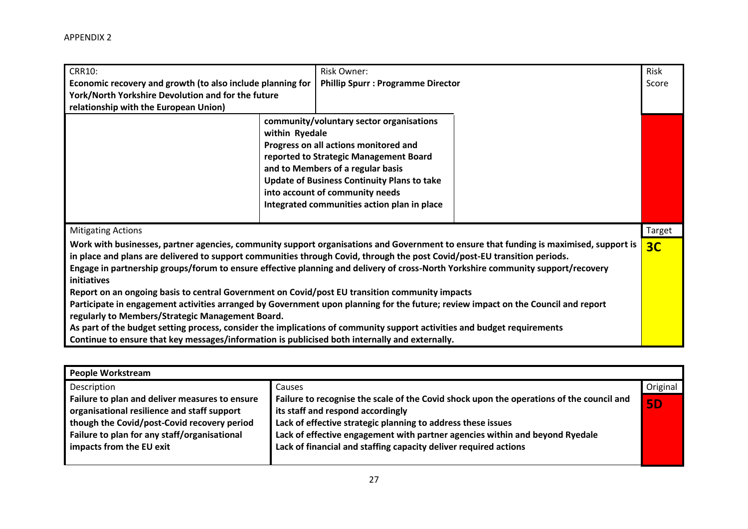| <b>CRR10:</b>                                                                                                                                                                                                                                                                                                                                                                                                                                                                                                                                                                                                                                                                                                                                                                                                                                                                                                                                   | Risk Owner:                                                                                                                                                                                                                                                                                                                | Risk   |  |
|-------------------------------------------------------------------------------------------------------------------------------------------------------------------------------------------------------------------------------------------------------------------------------------------------------------------------------------------------------------------------------------------------------------------------------------------------------------------------------------------------------------------------------------------------------------------------------------------------------------------------------------------------------------------------------------------------------------------------------------------------------------------------------------------------------------------------------------------------------------------------------------------------------------------------------------------------|----------------------------------------------------------------------------------------------------------------------------------------------------------------------------------------------------------------------------------------------------------------------------------------------------------------------------|--------|--|
| Economic recovery and growth (to also include planning for<br>York/North Yorkshire Devolution and for the future<br>relationship with the European Union)                                                                                                                                                                                                                                                                                                                                                                                                                                                                                                                                                                                                                                                                                                                                                                                       | <b>Phillip Spurr : Programme Director</b>                                                                                                                                                                                                                                                                                  | Score  |  |
|                                                                                                                                                                                                                                                                                                                                                                                                                                                                                                                                                                                                                                                                                                                                                                                                                                                                                                                                                 | community/voluntary sector organisations<br>within Ryedale<br>Progress on all actions monitored and<br>reported to Strategic Management Board<br>and to Members of a regular basis<br><b>Update of Business Continuity Plans to take</b><br>into account of community needs<br>Integrated communities action plan in place |        |  |
| <b>Mitigating Actions</b>                                                                                                                                                                                                                                                                                                                                                                                                                                                                                                                                                                                                                                                                                                                                                                                                                                                                                                                       |                                                                                                                                                                                                                                                                                                                            | Target |  |
| Work with businesses, partner agencies, community support organisations and Government to ensure that funding is maximised, support is<br>in place and plans are delivered to support communities through Covid, through the post Covid/post-EU transition periods.<br>Engage in partnership groups/forum to ensure effective planning and delivery of cross-North Yorkshire community support/recovery<br>initiatives<br>Report on an ongoing basis to central Government on Covid/post EU transition community impacts<br>Participate in engagement activities arranged by Government upon planning for the future; review impact on the Council and report<br>regularly to Members/Strategic Management Board.<br>As part of the budget setting process, consider the implications of community support activities and budget requirements<br>Continue to ensure that key messages/information is publicised both internally and externally. |                                                                                                                                                                                                                                                                                                                            |        |  |

| <b>People Workstream</b>                       |                                                                                          |           |
|------------------------------------------------|------------------------------------------------------------------------------------------|-----------|
| Description                                    | <b>Causes</b>                                                                            | Original  |
| Failure to plan and deliver measures to ensure | Failure to recognise the scale of the Covid shock upon the operations of the council and | <b>5D</b> |
| organisational resilience and staff support    | its staff and respond accordingly                                                        |           |
| though the Covid/post-Covid recovery period    | Lack of effective strategic planning to address these issues                             |           |
| Failure to plan for any staff/organisational   | Lack of effective engagement with partner agencies within and beyond Ryedale             |           |
| impacts from the EU exit                       | Lack of financial and staffing capacity deliver required actions                         |           |
|                                                |                                                                                          |           |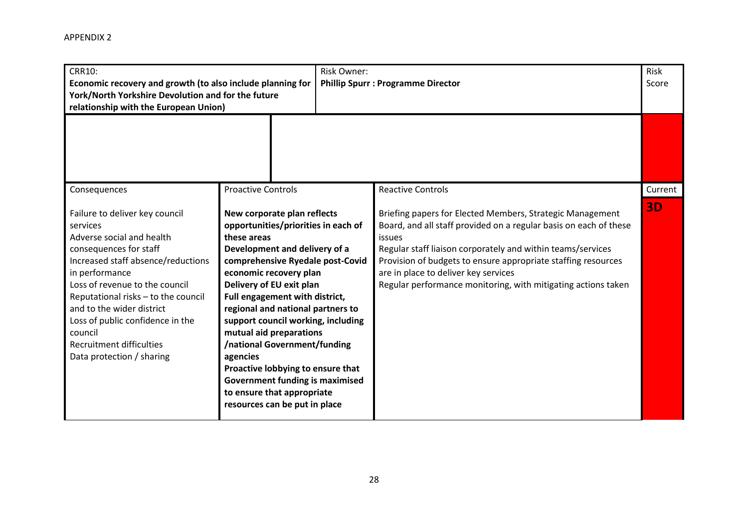| <b>CRR10:</b><br>Economic recovery and growth (to also include planning for<br>York/North Yorkshire Devolution and for the future<br>relationship with the European Union)                                                                                                                                                                                                     |                                                                                                                                                                                                                                                                                                                                                                                                                                                                                                                                                | Risk Owner: | <b>Phillip Spurr : Programme Director</b>                                                                                                                                                                                                                                                                                                                                         |           |  |
|--------------------------------------------------------------------------------------------------------------------------------------------------------------------------------------------------------------------------------------------------------------------------------------------------------------------------------------------------------------------------------|------------------------------------------------------------------------------------------------------------------------------------------------------------------------------------------------------------------------------------------------------------------------------------------------------------------------------------------------------------------------------------------------------------------------------------------------------------------------------------------------------------------------------------------------|-------------|-----------------------------------------------------------------------------------------------------------------------------------------------------------------------------------------------------------------------------------------------------------------------------------------------------------------------------------------------------------------------------------|-----------|--|
|                                                                                                                                                                                                                                                                                                                                                                                |                                                                                                                                                                                                                                                                                                                                                                                                                                                                                                                                                |             |                                                                                                                                                                                                                                                                                                                                                                                   |           |  |
| Consequences                                                                                                                                                                                                                                                                                                                                                                   | <b>Proactive Controls</b>                                                                                                                                                                                                                                                                                                                                                                                                                                                                                                                      |             | <b>Reactive Controls</b>                                                                                                                                                                                                                                                                                                                                                          | Current   |  |
| Failure to deliver key council<br>services<br>Adverse social and health<br>consequences for staff<br>Increased staff absence/reductions<br>in performance<br>Loss of revenue to the council<br>Reputational risks - to the council<br>and to the wider district<br>Loss of public confidence in the<br>council<br><b>Recruitment difficulties</b><br>Data protection / sharing | New corporate plan reflects<br>opportunities/priorities in each of<br>these areas<br>Development and delivery of a<br>comprehensive Ryedale post-Covid<br>economic recovery plan<br>Delivery of EU exit plan<br>Full engagement with district,<br>regional and national partners to<br>support council working, including<br>mutual aid preparations<br>/national Government/funding<br>agencies<br>Proactive lobbying to ensure that<br><b>Government funding is maximised</b><br>to ensure that appropriate<br>resources can be put in place |             | Briefing papers for Elected Members, Strategic Management<br>Board, and all staff provided on a regular basis on each of these<br>issues<br>Regular staff liaison corporately and within teams/services<br>Provision of budgets to ensure appropriate staffing resources<br>are in place to deliver key services<br>Regular performance monitoring, with mitigating actions taken | <b>3D</b> |  |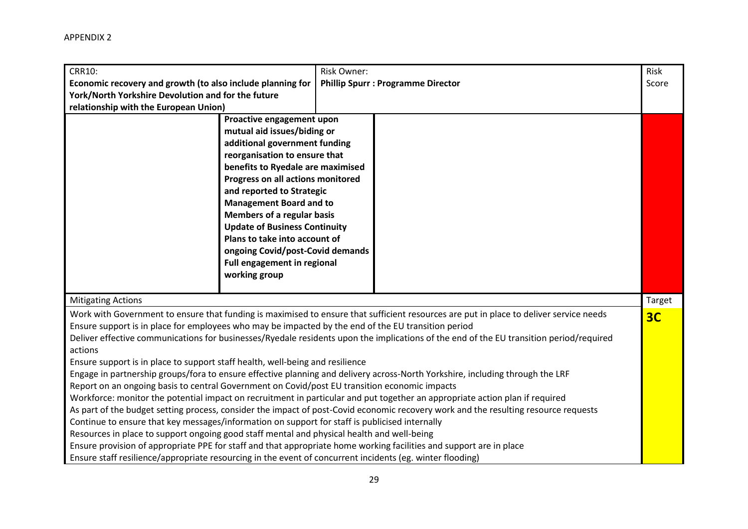| <b>CRR10:</b><br>Economic recovery and growth (to also include planning for<br>York/North Yorkshire Devolution and for the future<br>relationship with the European Union)                                                                                                                                                                                                                                                                                                                                                                                                                                                                                                                                                                                                                                                                                                                                                                                                                                                                                                                                                                                                                                                                                                                                                                                                                                                        |                                                                                                                                                                                                                                                                                                                                                                                                                                                                       | Risk Owner:    | <b>Phillip Spurr : Programme Director</b> | Risk<br>Score |
|-----------------------------------------------------------------------------------------------------------------------------------------------------------------------------------------------------------------------------------------------------------------------------------------------------------------------------------------------------------------------------------------------------------------------------------------------------------------------------------------------------------------------------------------------------------------------------------------------------------------------------------------------------------------------------------------------------------------------------------------------------------------------------------------------------------------------------------------------------------------------------------------------------------------------------------------------------------------------------------------------------------------------------------------------------------------------------------------------------------------------------------------------------------------------------------------------------------------------------------------------------------------------------------------------------------------------------------------------------------------------------------------------------------------------------------|-----------------------------------------------------------------------------------------------------------------------------------------------------------------------------------------------------------------------------------------------------------------------------------------------------------------------------------------------------------------------------------------------------------------------------------------------------------------------|----------------|-------------------------------------------|---------------|
|                                                                                                                                                                                                                                                                                                                                                                                                                                                                                                                                                                                                                                                                                                                                                                                                                                                                                                                                                                                                                                                                                                                                                                                                                                                                                                                                                                                                                                   | Proactive engagement upon<br>mutual aid issues/biding or<br>additional government funding<br>reorganisation to ensure that<br>benefits to Ryedale are maximised<br>Progress on all actions monitored<br>and reported to Strategic<br><b>Management Board and to</b><br><b>Members of a regular basis</b><br><b>Update of Business Continuity</b><br>Plans to take into account of<br>ongoing Covid/post-Covid demands<br>Full engagement in regional<br>working group |                |                                           |               |
| <b>Mitigating Actions</b>                                                                                                                                                                                                                                                                                                                                                                                                                                                                                                                                                                                                                                                                                                                                                                                                                                                                                                                                                                                                                                                                                                                                                                                                                                                                                                                                                                                                         |                                                                                                                                                                                                                                                                                                                                                                                                                                                                       |                |                                           | Target        |
| Work with Government to ensure that funding is maximised to ensure that sufficient resources are put in place to deliver service needs<br>Ensure support is in place for employees who may be impacted by the end of the EU transition period<br>Deliver effective communications for businesses/Ryedale residents upon the implications of the end of the EU transition period/required<br>actions<br>Ensure support is in place to support staff health, well-being and resilience<br>Engage in partnership groups/fora to ensure effective planning and delivery across-North Yorkshire, including through the LRF<br>Report on an ongoing basis to central Government on Covid/post EU transition economic impacts<br>Workforce: monitor the potential impact on recruitment in particular and put together an appropriate action plan if required<br>As part of the budget setting process, consider the impact of post-Covid economic recovery work and the resulting resource requests<br>Continue to ensure that key messages/information on support for staff is publicised internally<br>Resources in place to support ongoing good staff mental and physical health and well-being<br>Ensure provision of appropriate PPE for staff and that appropriate home working facilities and support are in place<br>Ensure staff resilience/appropriate resourcing in the event of concurrent incidents (eg. winter flooding) |                                                                                                                                                                                                                                                                                                                                                                                                                                                                       | 3 <sub>C</sub> |                                           |               |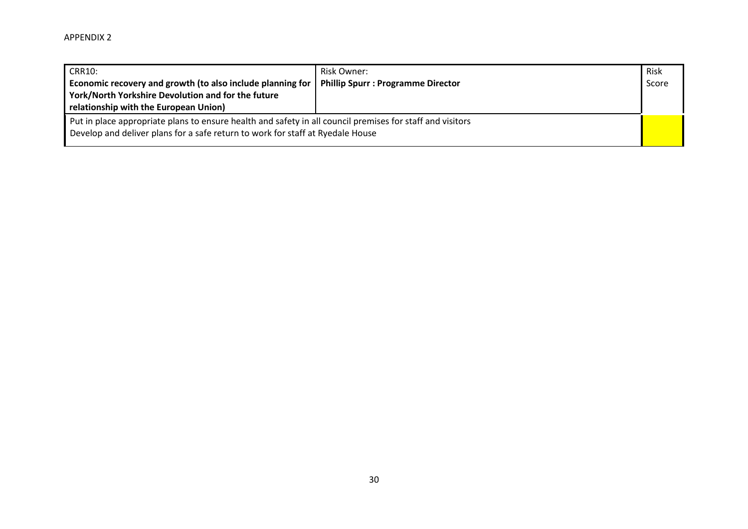| <b>CRR10:</b><br>Economic recovery and growth (to also include planning for<br>York/North Yorkshire Devolution and for the future<br>relationship with the European Union)                  | Risk Owner:<br><b>Phillip Spurr: Programme Director</b> | Risk<br>Score |
|---------------------------------------------------------------------------------------------------------------------------------------------------------------------------------------------|---------------------------------------------------------|---------------|
| Put in place appropriate plans to ensure health and safety in all council premises for staff and visitors<br>Develop and deliver plans for a safe return to work for staff at Ryedale House |                                                         |               |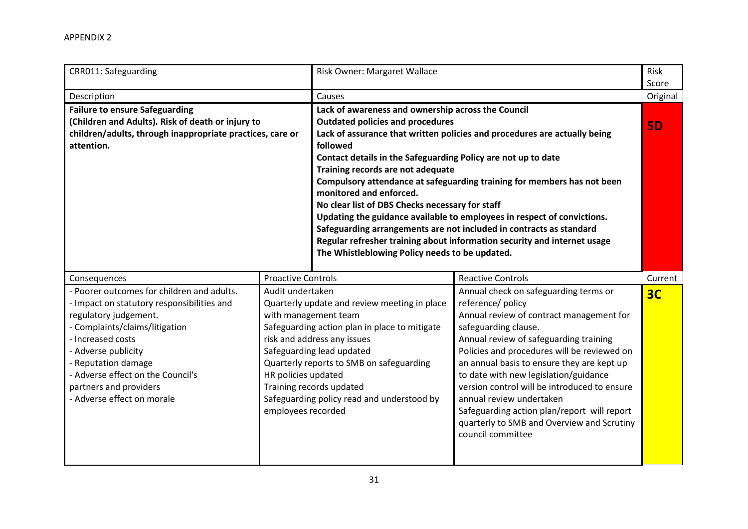| CRR011: Safeguarding                                                                                                                                                                                                                                                                                                |                                                                                       | Risk Owner: Margaret Wallace                                                                                                                                                                                                                                                                                                                                                                                                                                                                                                                                                                                                                                                                                                          |                                                                                                                                                                                                                                                                                                                                                                                                                                                                                                              | Risk<br>Score  |
|---------------------------------------------------------------------------------------------------------------------------------------------------------------------------------------------------------------------------------------------------------------------------------------------------------------------|---------------------------------------------------------------------------------------|---------------------------------------------------------------------------------------------------------------------------------------------------------------------------------------------------------------------------------------------------------------------------------------------------------------------------------------------------------------------------------------------------------------------------------------------------------------------------------------------------------------------------------------------------------------------------------------------------------------------------------------------------------------------------------------------------------------------------------------|--------------------------------------------------------------------------------------------------------------------------------------------------------------------------------------------------------------------------------------------------------------------------------------------------------------------------------------------------------------------------------------------------------------------------------------------------------------------------------------------------------------|----------------|
| Description                                                                                                                                                                                                                                                                                                         |                                                                                       | Causes                                                                                                                                                                                                                                                                                                                                                                                                                                                                                                                                                                                                                                                                                                                                |                                                                                                                                                                                                                                                                                                                                                                                                                                                                                                              | Original       |
| <b>Failure to ensure Safeguarding</b><br>(Children and Adults). Risk of death or injury to<br>children/adults, through inappropriate practices, care or<br>attention.                                                                                                                                               |                                                                                       | Lack of awareness and ownership across the Council<br><b>Outdated policies and procedures</b><br>Lack of assurance that written policies and procedures are actually being<br>followed<br>Contact details in the Safeguarding Policy are not up to date<br>Training records are not adequate<br>Compulsory attendance at safeguarding training for members has not been<br>monitored and enforced.<br>No clear list of DBS Checks necessary for staff<br>Updating the guidance available to employees in respect of convictions.<br>Safeguarding arrangements are not included in contracts as standard<br>Regular refresher training about information security and internet usage<br>The Whistleblowing Policy needs to be updated. |                                                                                                                                                                                                                                                                                                                                                                                                                                                                                                              | <b>5D</b>      |
| Consequences                                                                                                                                                                                                                                                                                                        | <b>Proactive Controls</b>                                                             |                                                                                                                                                                                                                                                                                                                                                                                                                                                                                                                                                                                                                                                                                                                                       | <b>Reactive Controls</b>                                                                                                                                                                                                                                                                                                                                                                                                                                                                                     | Current        |
| - Poorer outcomes for children and adults.<br>- Impact on statutory responsibilities and<br>regulatory judgement.<br>- Complaints/claims/litigation<br>- Increased costs<br>- Adverse publicity<br>- Reputation damage<br>- Adverse effect on the Council's<br>partners and providers<br>- Adverse effect on morale | Audit undertaken<br>with management team<br>HR policies updated<br>employees recorded | Quarterly update and review meeting in place<br>Safeguarding action plan in place to mitigate<br>risk and address any issues<br>Safeguarding lead updated<br>Quarterly reports to SMB on safeguarding<br>Training records updated<br>Safeguarding policy read and understood by                                                                                                                                                                                                                                                                                                                                                                                                                                                       | Annual check on safeguarding terms or<br>reference/ policy<br>Annual review of contract management for<br>safeguarding clause.<br>Annual review of safeguarding training<br>Policies and procedures will be reviewed on<br>an annual basis to ensure they are kept up<br>to date with new legislation/guidance<br>version control will be introduced to ensure<br>annual review undertaken<br>Safeguarding action plan/report will report<br>quarterly to SMB and Overview and Scrutiny<br>council committee | 3 <sub>C</sub> |